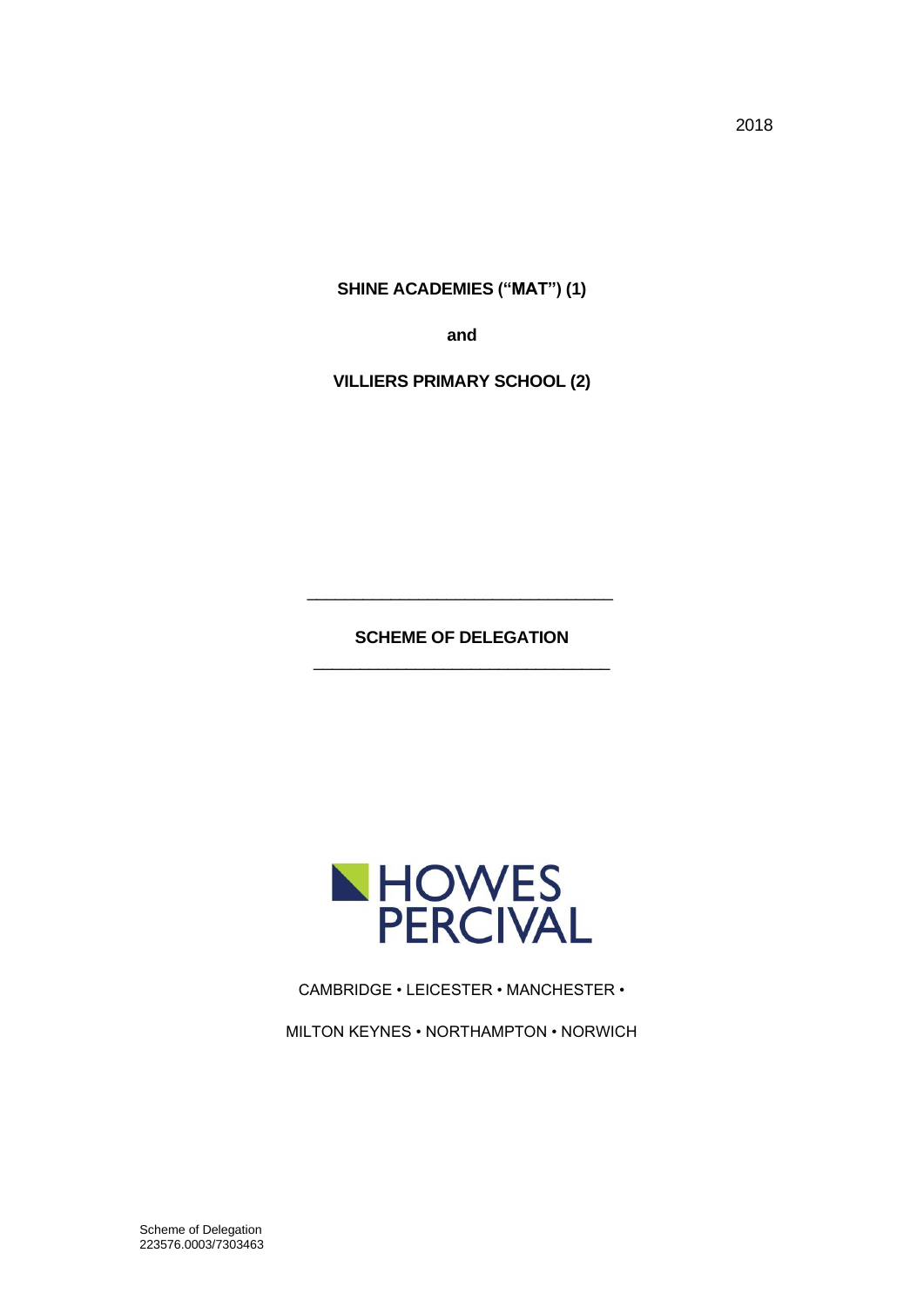**SHINE ACADEMIES ("MAT") (1)**

**and**

**VILLIERS PRIMARY SCHOOL (2)**

**SCHEME OF DELEGATION** \_\_\_\_\_\_\_\_\_\_\_\_\_\_\_\_\_\_\_\_\_\_\_\_\_\_\_\_\_\_\_\_

\_\_\_\_\_\_\_\_\_\_\_\_\_\_\_\_\_\_\_\_\_\_\_\_\_\_\_\_\_\_\_\_\_



CAMBRIDGE • LEICESTER • MANCHESTER •

MILTON KEYNES • NORTHAMPTON • NORWICH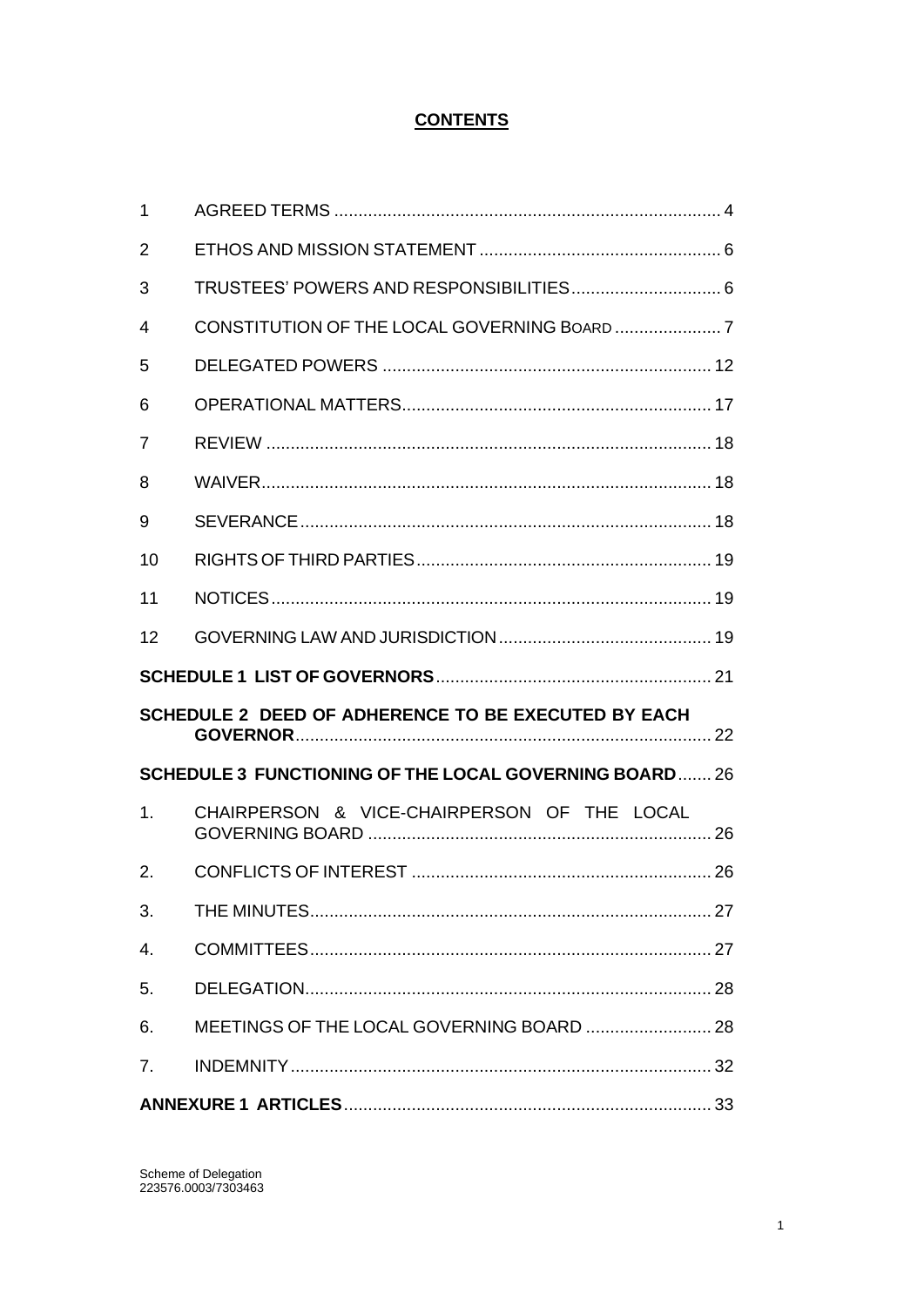# **CONTENTS**

| 2  |                                                              |  |
|----|--------------------------------------------------------------|--|
| 3  |                                                              |  |
| 4  |                                                              |  |
| 5  |                                                              |  |
| 6  |                                                              |  |
| 7  |                                                              |  |
| 8  |                                                              |  |
| 9  |                                                              |  |
| 10 |                                                              |  |
| 11 |                                                              |  |
| 12 |                                                              |  |
|    |                                                              |  |
|    |                                                              |  |
|    | SCHEDULE 2 DEED OF ADHERENCE TO BE EXECUTED BY EACH          |  |
|    | <b>SCHEDULE 3 FUNCTIONING OF THE LOCAL GOVERNING BOARD26</b> |  |
| 1. | CHAIRPERSON & VICE-CHAIRPERSON OF THE LOCAL                  |  |
| 2. |                                                              |  |
| 3. |                                                              |  |
| 4. |                                                              |  |
| 5. |                                                              |  |
| 6. |                                                              |  |
| 7. |                                                              |  |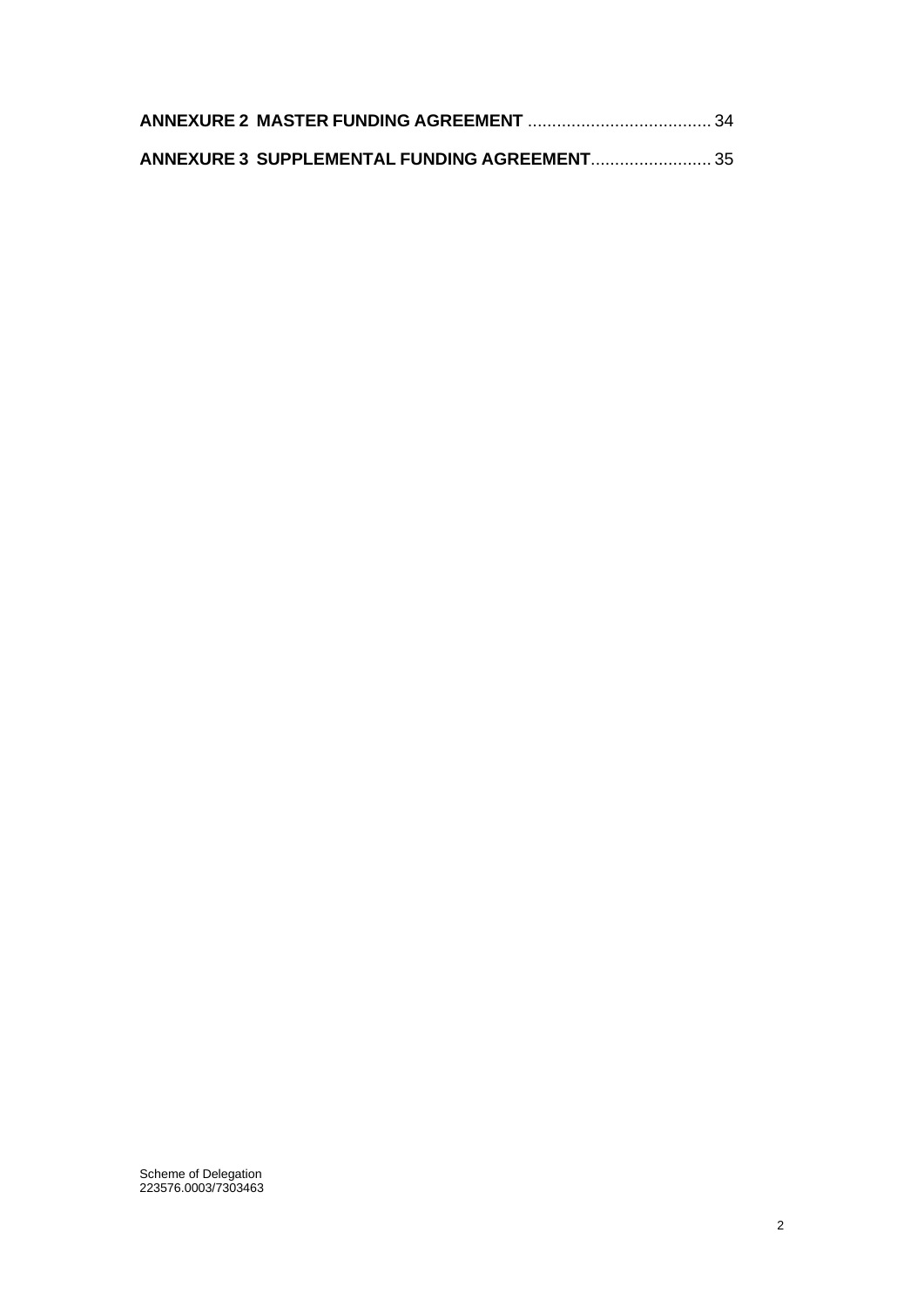| ANNEXURE 3 SUPPLEMENTAL FUNDING AGREEMENT 35 |  |
|----------------------------------------------|--|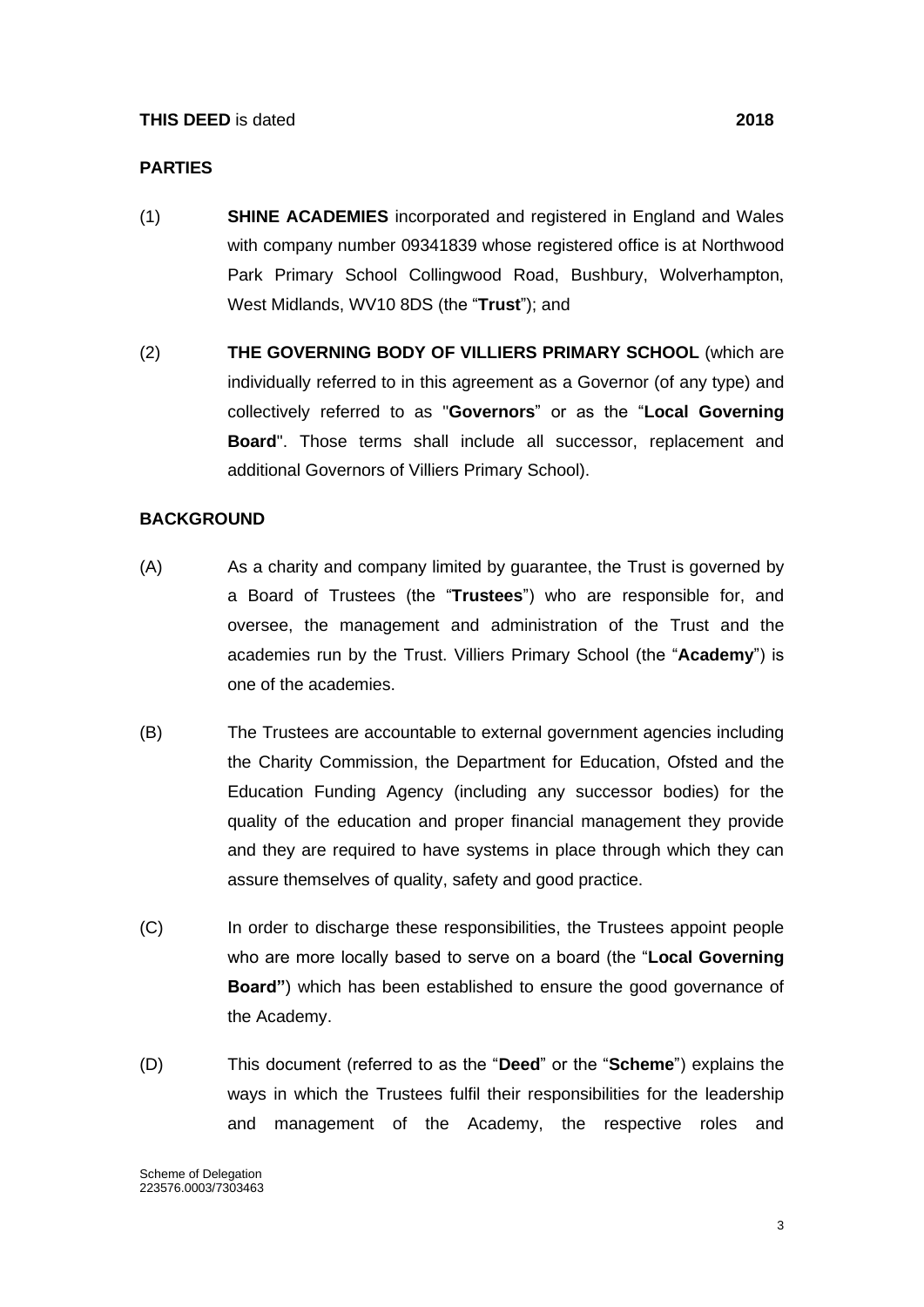#### **PARTIES**

- (1) **SHINE ACADEMIES** incorporated and registered in England and Wales with company number 09341839 whose registered office is at Northwood Park Primary School Collingwood Road, Bushbury, Wolverhampton, West Midlands, WV10 8DS (the "**Trust**"); and
- (2) **THE GOVERNING BODY OF VILLIERS PRIMARY SCHOOL** (which are individually referred to in this agreement as a Governor (of any type) and collectively referred to as "**Governors**" or as the "**Local Governing Board**". Those terms shall include all successor, replacement and additional Governors of Villiers Primary School).

#### **BACKGROUND**

- (A) As a charity and company limited by guarantee, the Trust is governed by a Board of Trustees (the "**Trustees**") who are responsible for, and oversee, the management and administration of the Trust and the academies run by the Trust. Villiers Primary School (the "**Academy**") is one of the academies.
- (B) The Trustees are accountable to external government agencies including the Charity Commission, the Department for Education, Ofsted and the Education Funding Agency (including any successor bodies) for the quality of the education and proper financial management they provide and they are required to have systems in place through which they can assure themselves of quality, safety and good practice.
- (C) In order to discharge these responsibilities, the Trustees appoint people who are more locally based to serve on a board (the "**Local Governing Board"**) which has been established to ensure the good governance of the Academy.
- (D) This document (referred to as the "**Deed**" or the "**Scheme**") explains the ways in which the Trustees fulfil their responsibilities for the leadership and management of the Academy, the respective roles and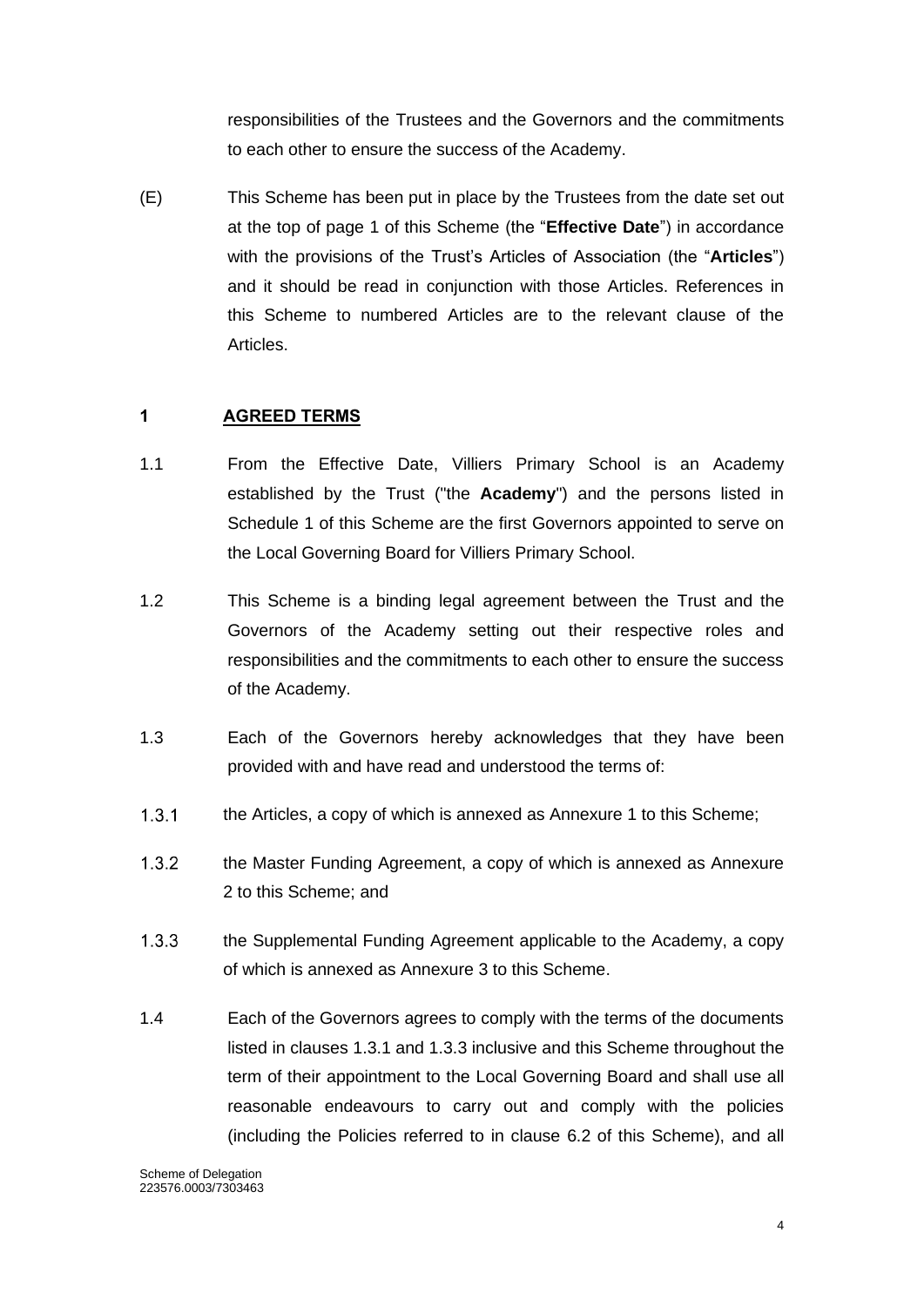responsibilities of the Trustees and the Governors and the commitments to each other to ensure the success of the Academy.

(E) This Scheme has been put in place by the Trustees from the date set out at the top of page 1 of this Scheme (the "**Effective Date**") in accordance with the provisions of the Trust's Articles of Association (the "**Articles**") and it should be read in conjunction with those Articles. References in this Scheme to numbered Articles are to the relevant clause of the Articles.

## <span id="page-4-0"></span>**1 AGREED TERMS**

- 1.1 From the Effective Date, Villiers Primary School is an Academy established by the Trust ("the **Academy**") and the persons listed in Schedule 1 of this Scheme are the first Governors appointed to serve on the Local Governing Board for Villiers Primary School.
- 1.2 This Scheme is a binding legal agreement between the Trust and the Governors of the Academy setting out their respective roles and responsibilities and the commitments to each other to ensure the success of the Academy.
- 1.3 Each of the Governors hereby acknowledges that they have been provided with and have read and understood the terms of:
- $1.3.1$ the Articles, a copy of which is annexed as Annexure 1 to this Scheme;
- $1.3.2$ the Master Funding Agreement, a copy of which is annexed as Annexure 2 to this Scheme; and
- $1.3.3$ the Supplemental Funding Agreement applicable to the Academy, a copy of which is annexed as Annexure 3 to this Scheme.
- 1.4 Each of the Governors agrees to comply with the terms of the documents listed in clauses 1.3.1 and 1.3.3 inclusive and this Scheme throughout the term of their appointment to the Local Governing Board and shall use all reasonable endeavours to carry out and comply with the policies (including the Policies referred to in clause 6.2 of this Scheme), and all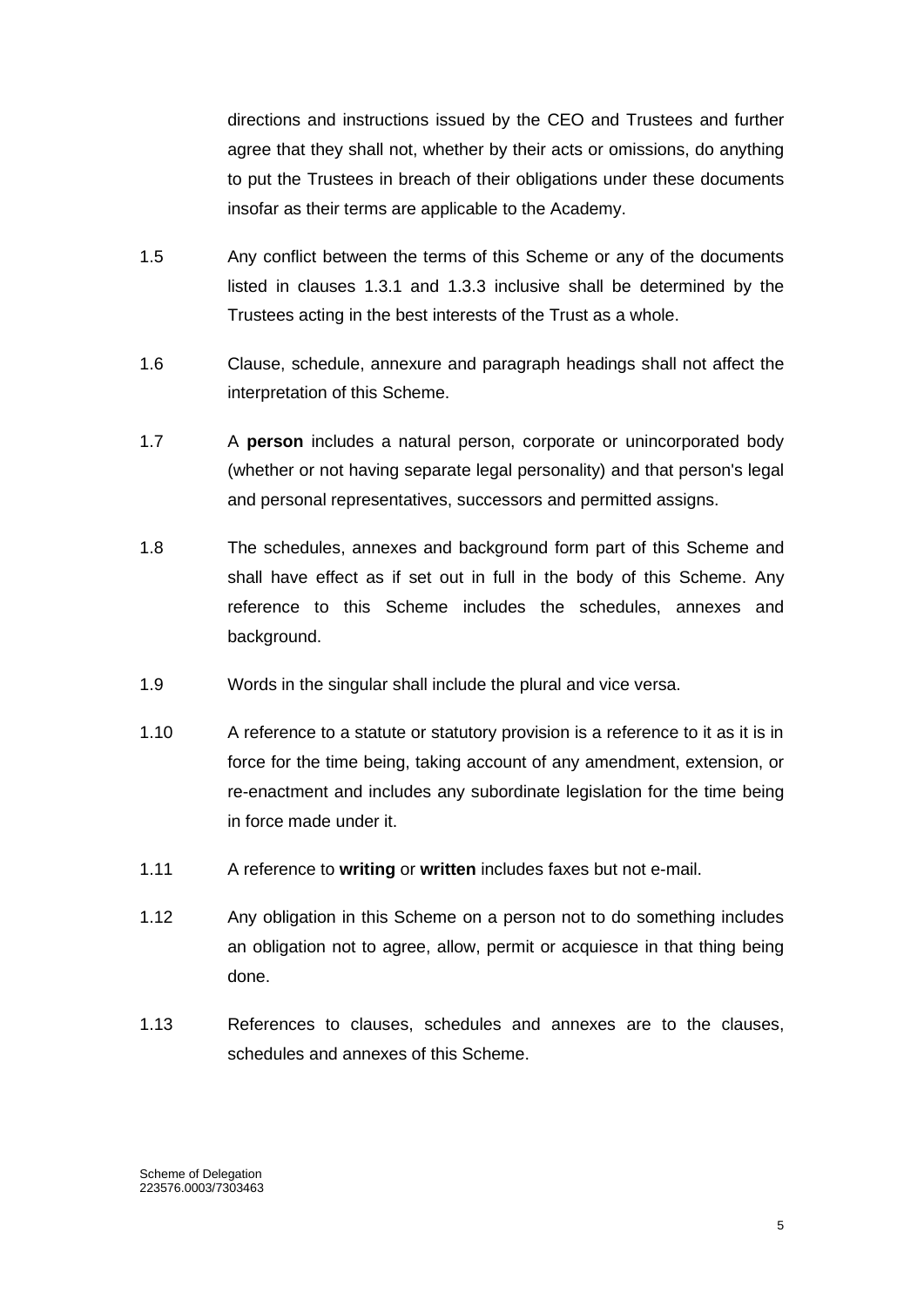directions and instructions issued by the CEO and Trustees and further agree that they shall not, whether by their acts or omissions, do anything to put the Trustees in breach of their obligations under these documents insofar as their terms are applicable to the Academy.

- 1.5 Any conflict between the terms of this Scheme or any of the documents listed in clauses 1.3.1 and 1.3.3 inclusive shall be determined by the Trustees acting in the best interests of the Trust as a whole.
- 1.6 Clause, schedule, annexure and paragraph headings shall not affect the interpretation of this Scheme.
- 1.7 A **person** includes a natural person, corporate or unincorporated body (whether or not having separate legal personality) and that person's legal and personal representatives, successors and permitted assigns.
- 1.8 The schedules, annexes and background form part of this Scheme and shall have effect as if set out in full in the body of this Scheme. Any reference to this Scheme includes the schedules, annexes and background.
- 1.9 Words in the singular shall include the plural and vice versa.
- 1.10 A reference to a statute or statutory provision is a reference to it as it is in force for the time being, taking account of any amendment, extension, or re-enactment and includes any subordinate legislation for the time being in force made under it.
- 1.11 A reference to **writing** or **written** includes faxes but not e-mail.
- 1.12 Any obligation in this Scheme on a person not to do something includes an obligation not to agree, allow, permit or acquiesce in that thing being done.
- 1.13 References to clauses, schedules and annexes are to the clauses, schedules and annexes of this Scheme.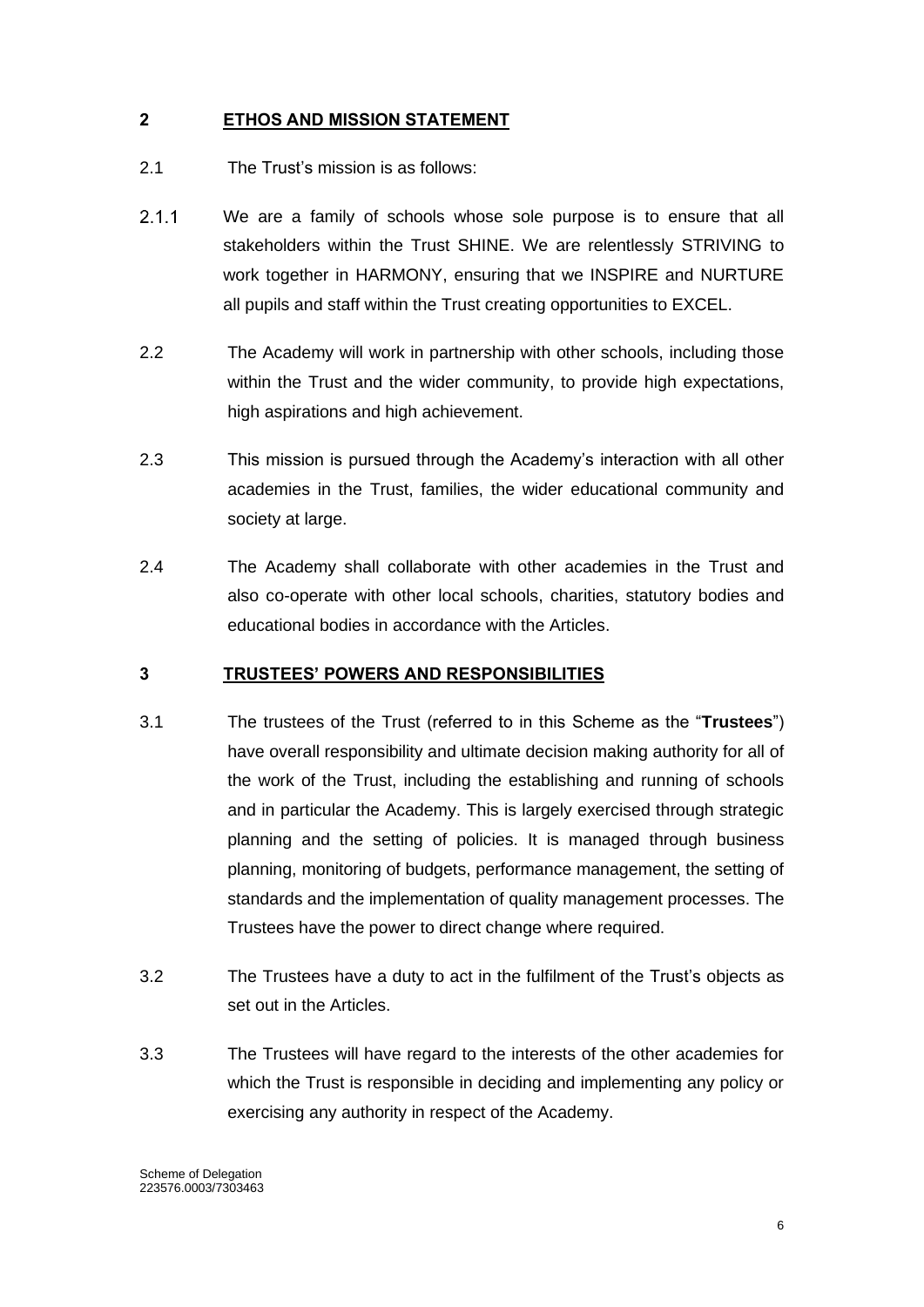## <span id="page-6-0"></span>**2 ETHOS AND MISSION STATEMENT**

- 2.1 The Trust's mission is as follows:
- $2.1.1$ We are a family of schools whose sole purpose is to ensure that all stakeholders within the Trust SHINE. We are relentlessly STRIVING to work together in HARMONY, ensuring that we INSPIRE and NURTURE all pupils and staff within the Trust creating opportunities to EXCEL.
- 2.2 The Academy will work in partnership with other schools, including those within the Trust and the wider community, to provide high expectations, high aspirations and high achievement.
- 2.3 This mission is pursued through the Academy's interaction with all other academies in the Trust, families, the wider educational community and society at large.
- 2.4 The Academy shall collaborate with other academies in the Trust and also co-operate with other local schools, charities, statutory bodies and educational bodies in accordance with the Articles.

#### <span id="page-6-1"></span>**3 TRUSTEES' POWERS AND RESPONSIBILITIES**

- 3.1 The trustees of the Trust (referred to in this Scheme as the "**Trustees**") have overall responsibility and ultimate decision making authority for all of the work of the Trust, including the establishing and running of schools and in particular the Academy. This is largely exercised through strategic planning and the setting of policies. It is managed through business planning, monitoring of budgets, performance management, the setting of standards and the implementation of quality management processes. The Trustees have the power to direct change where required.
- 3.2 The Trustees have a duty to act in the fulfilment of the Trust's objects as set out in the Articles.
- 3.3 The Trustees will have regard to the interests of the other academies for which the Trust is responsible in deciding and implementing any policy or exercising any authority in respect of the Academy.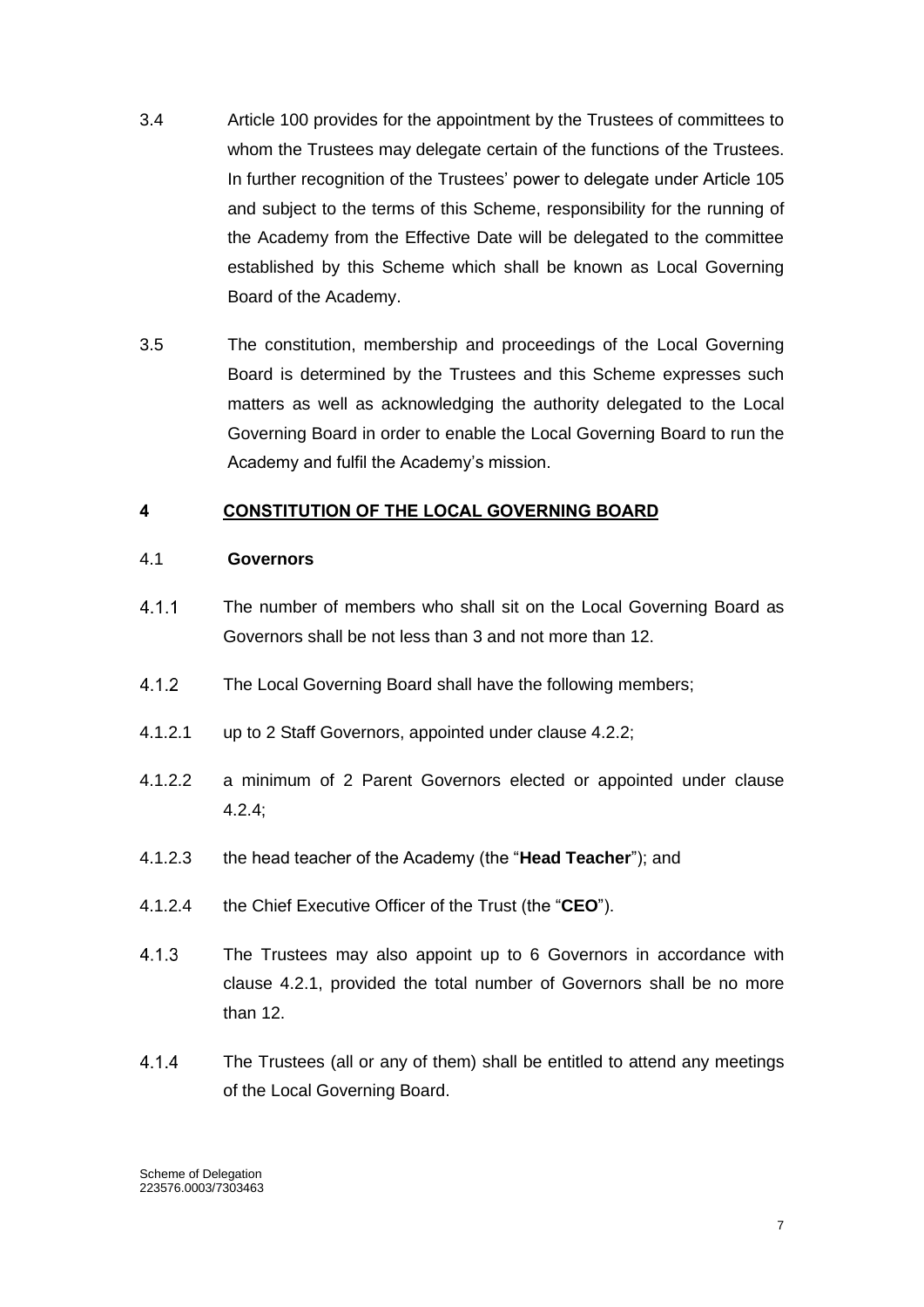- 3.4 Article 100 provides for the appointment by the Trustees of committees to whom the Trustees may delegate certain of the functions of the Trustees. In further recognition of the Trustees' power to delegate under Article 105 and subject to the terms of this Scheme, responsibility for the running of the Academy from the Effective Date will be delegated to the committee established by this Scheme which shall be known as Local Governing Board of the Academy.
- 3.5 The constitution, membership and proceedings of the Local Governing Board is determined by the Trustees and this Scheme expresses such matters as well as acknowledging the authority delegated to the Local Governing Board in order to enable the Local Governing Board to run the Academy and fulfil the Academy's mission.

## <span id="page-7-0"></span>**4 CONSTITUTION OF THE LOCAL GOVERNING BOARD**

#### 4.1 **Governors**

- $411$ The number of members who shall sit on the Local Governing Board as Governors shall be not less than 3 and not more than 12.
- $4.1.2$ The Local Governing Board shall have the following members;
- 4.1.2.1 up to 2 Staff Governors, appointed under clause 4.2.2;
- 4.1.2.2 a minimum of 2 Parent Governors elected or appointed under clause 4.2.4;
- 4.1.2.3 the head teacher of the Academy (the "**Head Teacher**"); and
- 4.1.2.4 the Chief Executive Officer of the Trust (the "**CEO**").
- $4.1.3$ The Trustees may also appoint up to 6 Governors in accordance with clause 4.2.1, provided the total number of Governors shall be no more than 12.
- $4.1.4$ The Trustees (all or any of them) shall be entitled to attend any meetings of the Local Governing Board.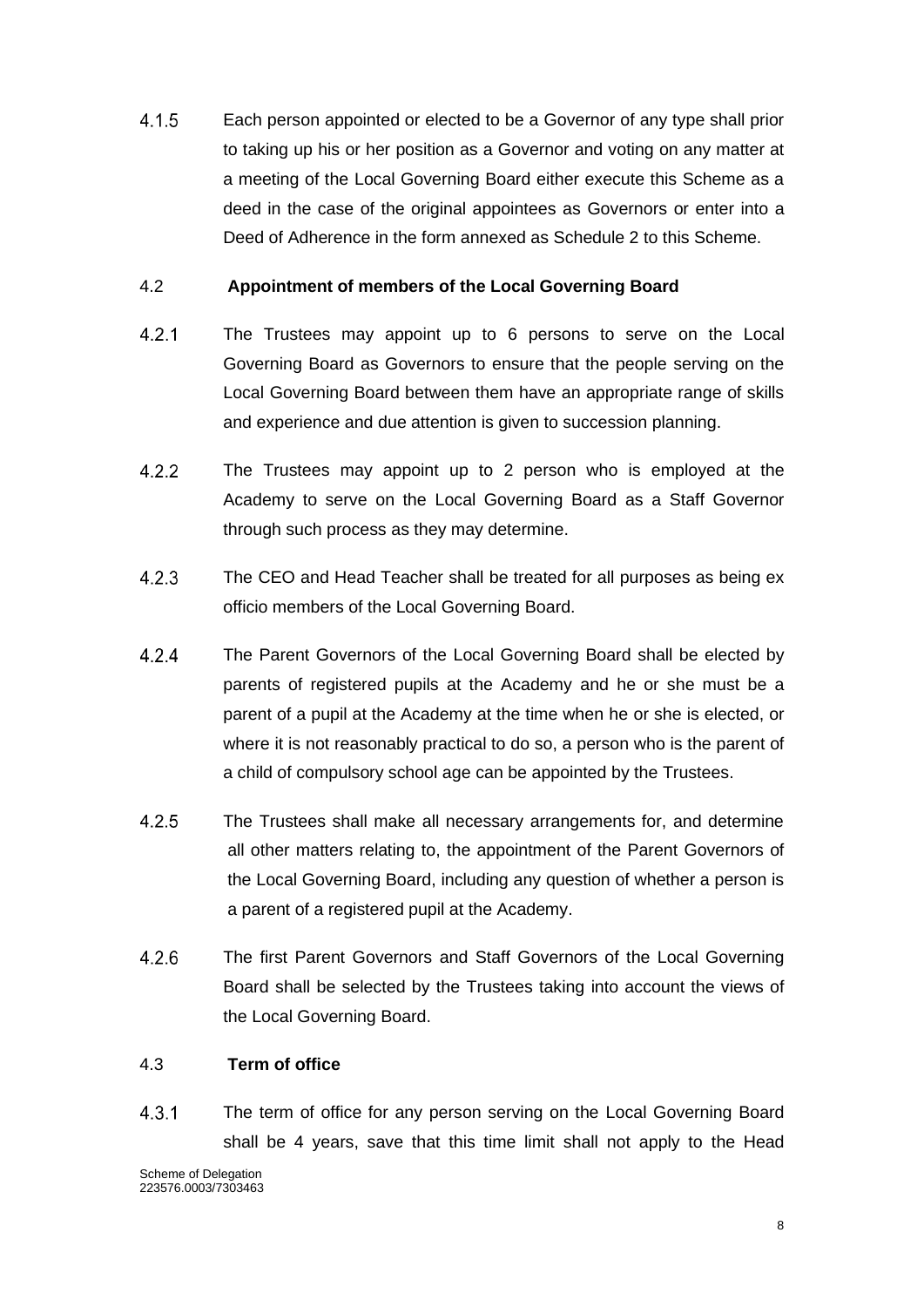$4.1.5$ Each person appointed or elected to be a Governor of any type shall prior to taking up his or her position as a Governor and voting on any matter at a meeting of the Local Governing Board either execute this Scheme as a deed in the case of the original appointees as Governors or enter into a Deed of Adherence in the form annexed as Schedule 2 to this Scheme.

## 4.2 **Appointment of members of the Local Governing Board**

- $4.2.1$ The Trustees may appoint up to 6 persons to serve on the Local Governing Board as Governors to ensure that the people serving on the Local Governing Board between them have an appropriate range of skills and experience and due attention is given to succession planning.
- $4.2.2$ The Trustees may appoint up to 2 person who is employed at the Academy to serve on the Local Governing Board as a Staff Governor through such process as they may determine.
- $4.2.3$ The CEO and Head Teacher shall be treated for all purposes as being ex officio members of the Local Governing Board.
- $4.2.4$ The Parent Governors of the Local Governing Board shall be elected by parents of registered pupils at the Academy and he or she must be a parent of a pupil at the Academy at the time when he or she is elected, or where it is not reasonably practical to do so, a person who is the parent of a child of compulsory school age can be appointed by the Trustees.
- $4.2.5$ The Trustees shall make all necessary arrangements for, and determine all other matters relating to, the appointment of the Parent Governors of the Local Governing Board, including any question of whether a person is a parent of a registered pupil at the Academy.
- $4.2.6$ The first Parent Governors and Staff Governors of the Local Governing Board shall be selected by the Trustees taking into account the views of the Local Governing Board.

#### 4.3 **Term of office**

 $4.3.1$ The term of office for any person serving on the Local Governing Board shall be 4 years, save that this time limit shall not apply to the Head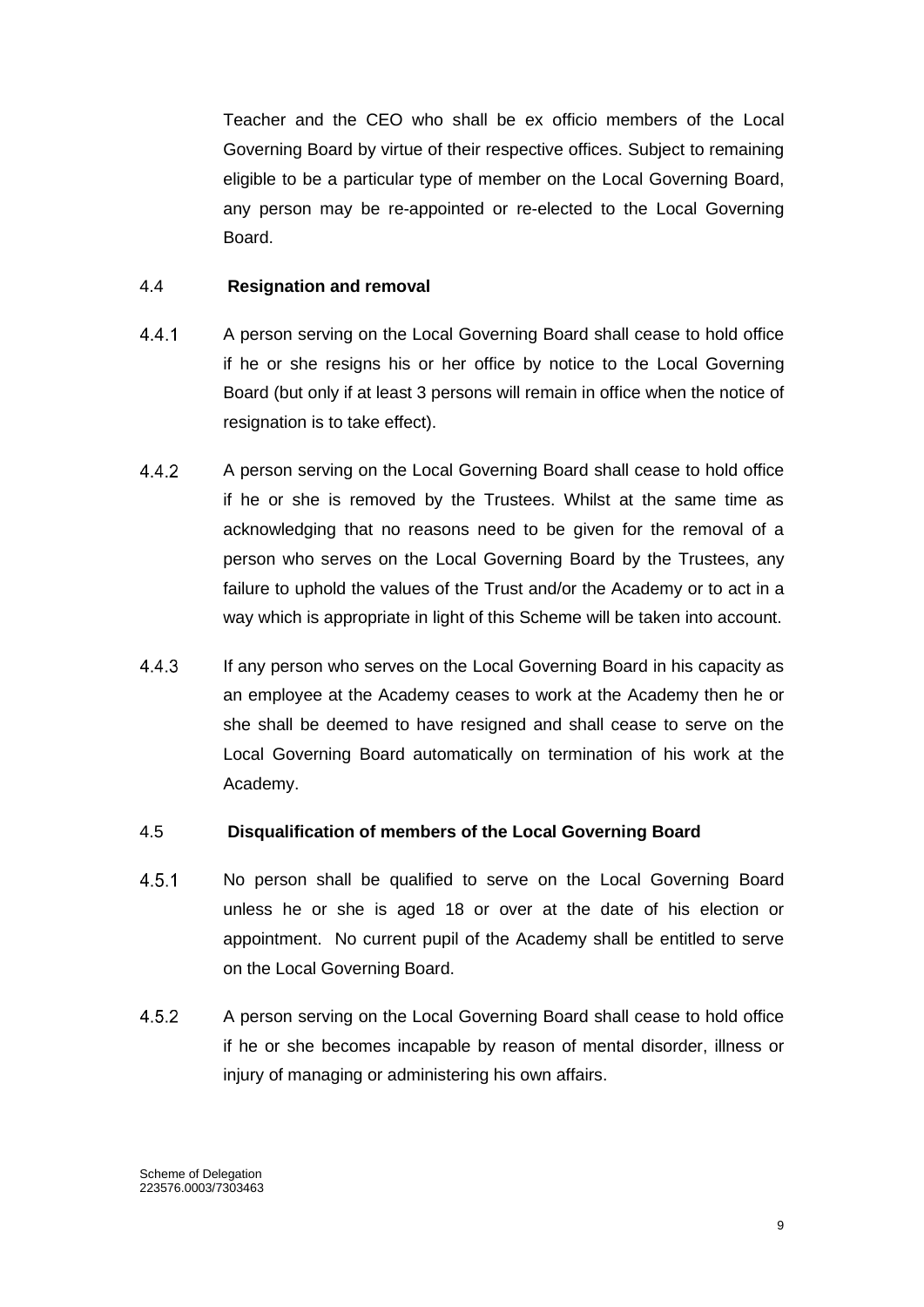Teacher and the CEO who shall be ex officio members of the Local Governing Board by virtue of their respective offices. Subject to remaining eligible to be a particular type of member on the Local Governing Board, any person may be re-appointed or re-elected to the Local Governing Board.

#### 4.4 **Resignation and removal**

- $4.4.1$ A person serving on the Local Governing Board shall cease to hold office if he or she resigns his or her office by notice to the Local Governing Board (but only if at least 3 persons will remain in office when the notice of resignation is to take effect).
- $4.4.2$ A person serving on the Local Governing Board shall cease to hold office if he or she is removed by the Trustees. Whilst at the same time as acknowledging that no reasons need to be given for the removal of a person who serves on the Local Governing Board by the Trustees, any failure to uphold the values of the Trust and/or the Academy or to act in a way which is appropriate in light of this Scheme will be taken into account.
- $4.4.3$ If any person who serves on the Local Governing Board in his capacity as an employee at the Academy ceases to work at the Academy then he or she shall be deemed to have resigned and shall cease to serve on the Local Governing Board automatically on termination of his work at the Academy.

#### 4.5 **Disqualification of members of the Local Governing Board**

- $4.5.1$ No person shall be qualified to serve on the Local Governing Board unless he or she is aged 18 or over at the date of his election or appointment. No current pupil of the Academy shall be entitled to serve on the Local Governing Board.
- 452 A person serving on the Local Governing Board shall cease to hold office if he or she becomes incapable by reason of mental disorder, illness or injury of managing or administering his own affairs.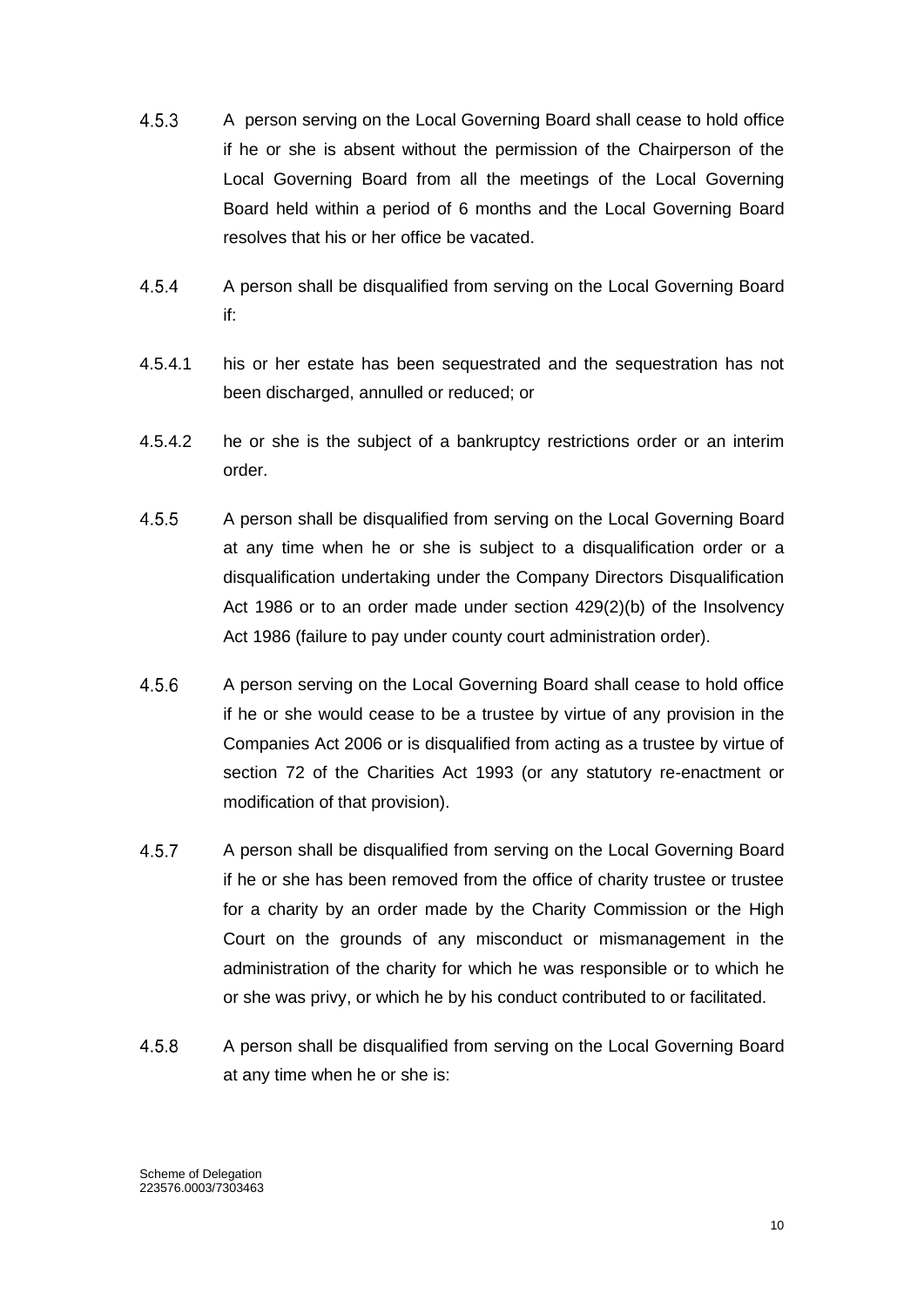- $4.5.3$ A person serving on the Local Governing Board shall cease to hold office if he or she is absent without the permission of the Chairperson of the Local Governing Board from all the meetings of the Local Governing Board held within a period of 6 months and the Local Governing Board resolves that his or her office be vacated.
- $4.5.4$ A person shall be disqualified from serving on the Local Governing Board if:
- 4.5.4.1 his or her estate has been sequestrated and the sequestration has not been discharged, annulled or reduced; or
- 4.5.4.2 he or she is the subject of a bankruptcy restrictions order or an interim order.
- $4.5.5$ A person shall be disqualified from serving on the Local Governing Board at any time when he or she is subject to a disqualification order or a disqualification undertaking under the Company Directors Disqualification Act 1986 or to an order made under section 429(2)(b) of the Insolvency Act 1986 (failure to pay under county court administration order).
- $4.5.6$ A person serving on the Local Governing Board shall cease to hold office if he or she would cease to be a trustee by virtue of any provision in the Companies Act 2006 or is disqualified from acting as a trustee by virtue of section 72 of the Charities Act 1993 (or any statutory re-enactment or modification of that provision).
- $4.5.7$ A person shall be disqualified from serving on the Local Governing Board if he or she has been removed from the office of charity trustee or trustee for a charity by an order made by the Charity Commission or the High Court on the grounds of any misconduct or mismanagement in the administration of the charity for which he was responsible or to which he or she was privy, or which he by his conduct contributed to or facilitated.
- 4.5.8 A person shall be disqualified from serving on the Local Governing Board at any time when he or she is: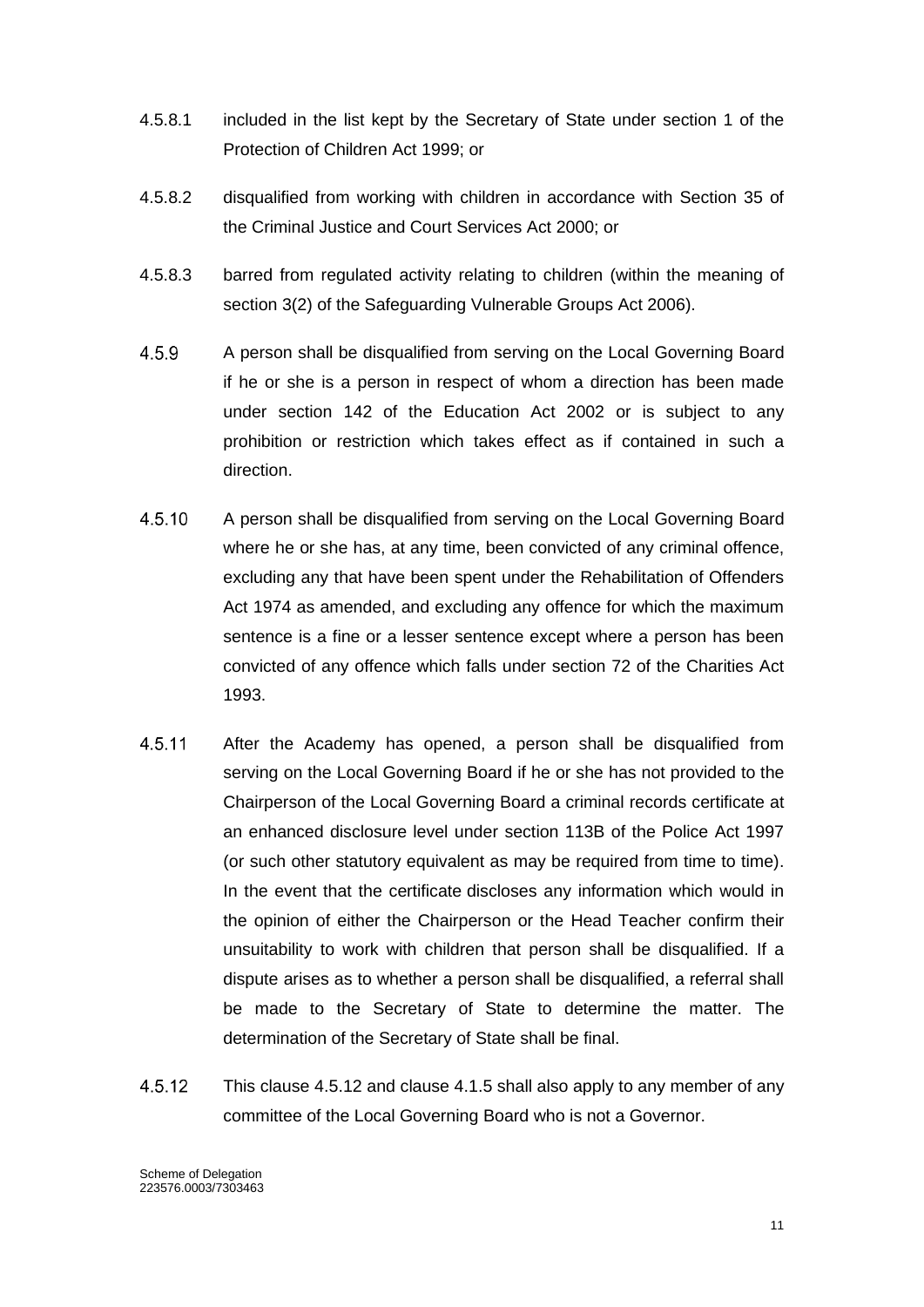- 4.5.8.1 included in the list kept by the Secretary of State under section 1 of the Protection of Children Act 1999; or
- 4.5.8.2 disqualified from working with children in accordance with Section 35 of the Criminal Justice and Court Services Act 2000; or
- 4.5.8.3 barred from regulated activity relating to children (within the meaning of section 3(2) of the Safeguarding Vulnerable Groups Act 2006).
- 4.5.9 A person shall be disqualified from serving on the Local Governing Board if he or she is a person in respect of whom a direction has been made under section 142 of the Education Act 2002 or is subject to any prohibition or restriction which takes effect as if contained in such a direction.
- 4.5.10 A person shall be disqualified from serving on the Local Governing Board where he or she has, at any time, been convicted of any criminal offence, excluding any that have been spent under the Rehabilitation of Offenders Act 1974 as amended, and excluding any offence for which the maximum sentence is a fine or a lesser sentence except where a person has been convicted of any offence which falls under section 72 of the Charities Act 1993.
- 4.5.11 After the Academy has opened, a person shall be disqualified from serving on the Local Governing Board if he or she has not provided to the Chairperson of the Local Governing Board a criminal records certificate at an enhanced disclosure level under section 113B of the Police Act 1997 (or such other statutory equivalent as may be required from time to time). In the event that the certificate discloses any information which would in the opinion of either the Chairperson or the Head Teacher confirm their unsuitability to work with children that person shall be disqualified. If a dispute arises as to whether a person shall be disqualified, a referral shall be made to the Secretary of State to determine the matter. The determination of the Secretary of State shall be final.
- 4.5.12 This clause 4.5.12 and clause 4.1.5 shall also apply to any member of any committee of the Local Governing Board who is not a Governor.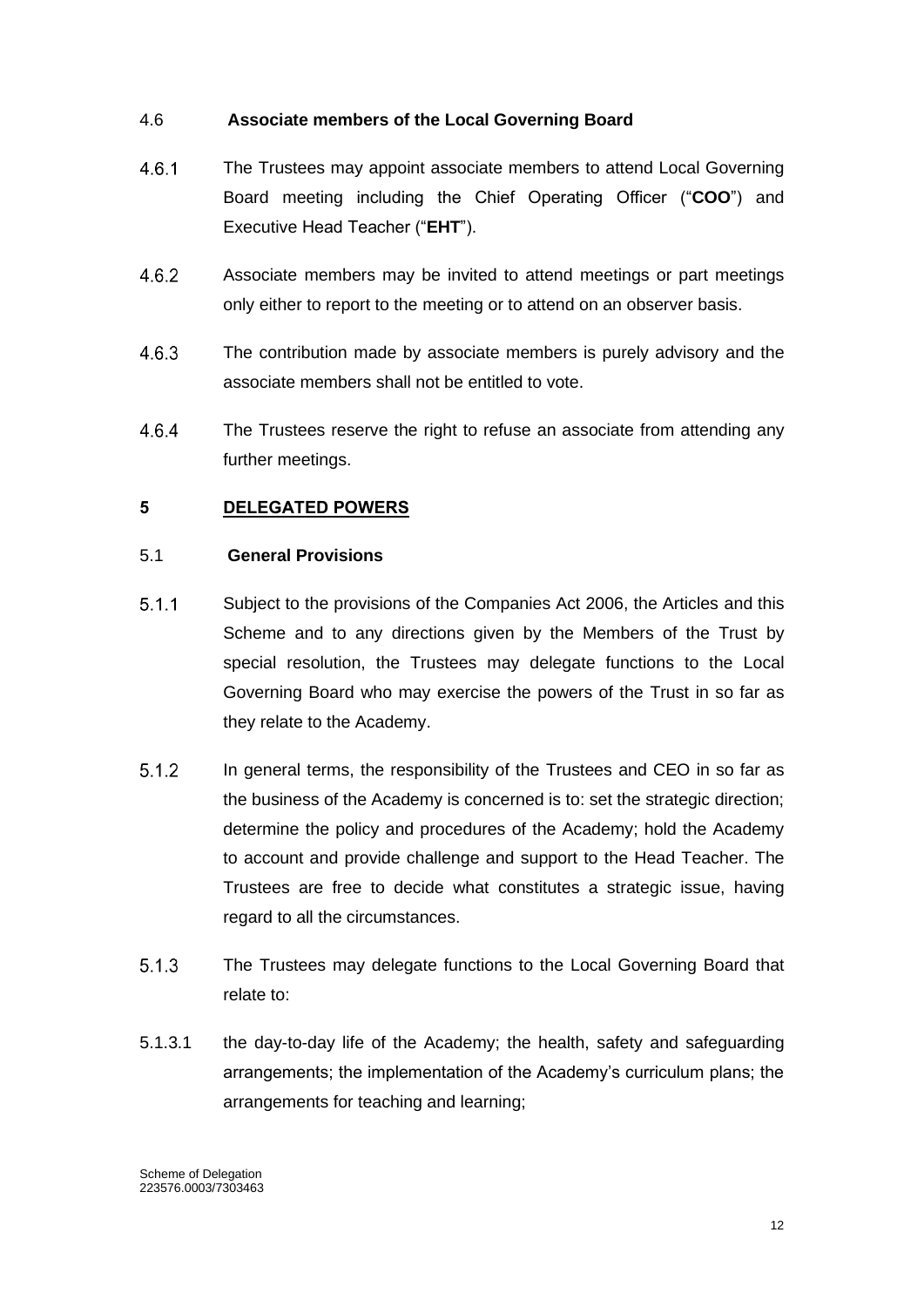## 4.6 **Associate members of the Local Governing Board**

- $4.6.1$ The Trustees may appoint associate members to attend Local Governing Board meeting including the Chief Operating Officer ("**COO**") and Executive Head Teacher ("**EHT**").
- 4.6.2 Associate members may be invited to attend meetings or part meetings only either to report to the meeting or to attend on an observer basis.
- 4.6.3 The contribution made by associate members is purely advisory and the associate members shall not be entitled to vote.
- 4.6.4 The Trustees reserve the right to refuse an associate from attending any further meetings.

## <span id="page-12-0"></span>**5 DELEGATED POWERS**

## 5.1 **General Provisions**

- $5.1.1$ Subject to the provisions of the Companies Act 2006, the Articles and this Scheme and to any directions given by the Members of the Trust by special resolution, the Trustees may delegate functions to the Local Governing Board who may exercise the powers of the Trust in so far as they relate to the Academy.
- $5.1.2$ In general terms, the responsibility of the Trustees and CEO in so far as the business of the Academy is concerned is to: set the strategic direction; determine the policy and procedures of the Academy; hold the Academy to account and provide challenge and support to the Head Teacher. The Trustees are free to decide what constitutes a strategic issue, having regard to all the circumstances.
- $5.1.3$ The Trustees may delegate functions to the Local Governing Board that relate to:
- 5.1.3.1 the day-to-day life of the Academy; the health, safety and safeguarding arrangements; the implementation of the Academy's curriculum plans; the arrangements for teaching and learning;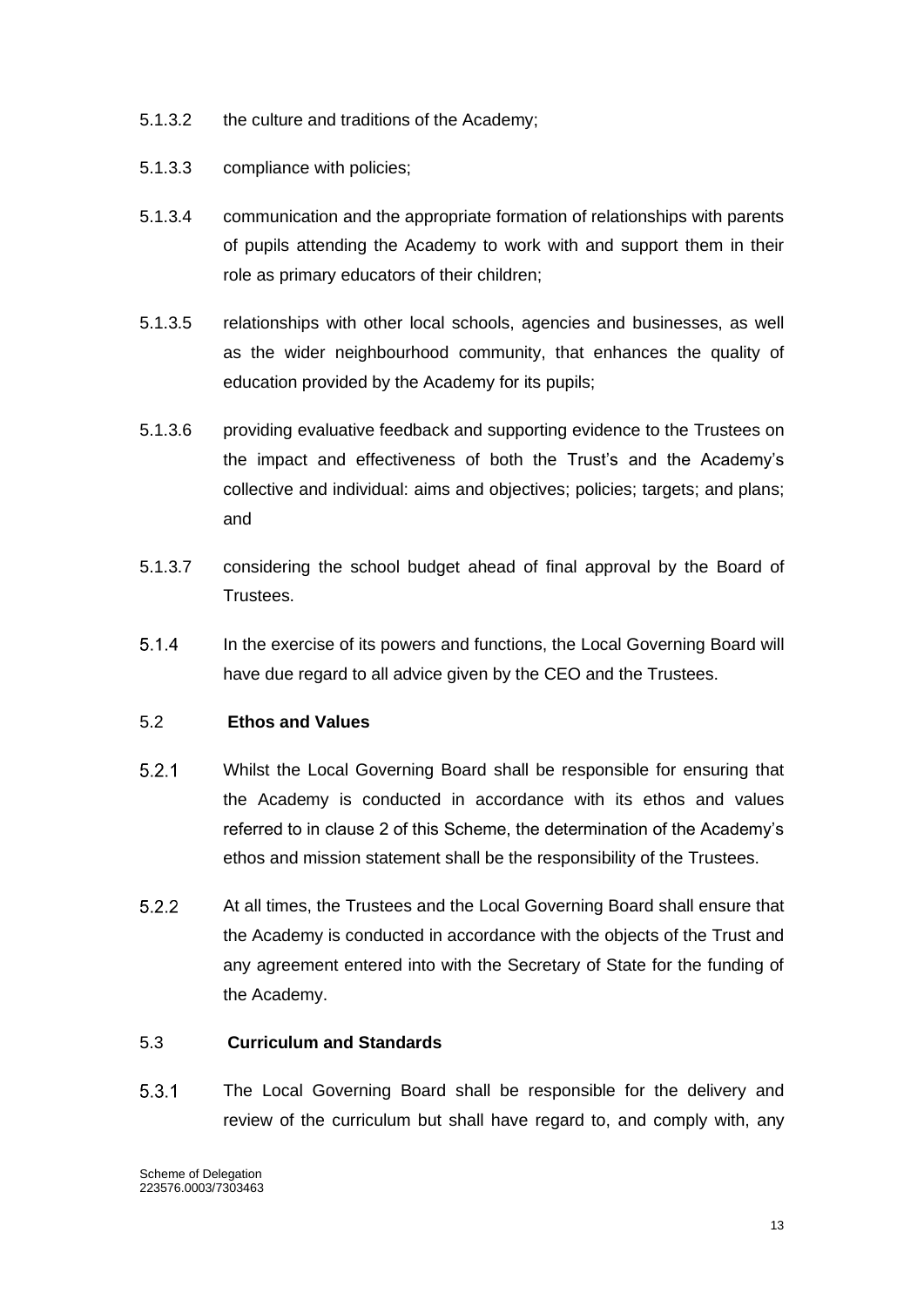- 5.1.3.2 the culture and traditions of the Academy;
- 5.1.3.3 compliance with policies;
- 5.1.3.4 communication and the appropriate formation of relationships with parents of pupils attending the Academy to work with and support them in their role as primary educators of their children;
- 5.1.3.5 relationships with other local schools, agencies and businesses, as well as the wider neighbourhood community, that enhances the quality of education provided by the Academy for its pupils;
- 5.1.3.6 providing evaluative feedback and supporting evidence to the Trustees on the impact and effectiveness of both the Trust's and the Academy's collective and individual: aims and objectives; policies; targets; and plans; and
- 5.1.3.7 considering the school budget ahead of final approval by the Board of Trustees.
- $5.1.4$ In the exercise of its powers and functions, the Local Governing Board will have due regard to all advice given by the CEO and the Trustees.

## 5.2 **Ethos and Values**

- $5.2.1$ Whilst the Local Governing Board shall be responsible for ensuring that the Academy is conducted in accordance with its ethos and values referred to in clause 2 of this Scheme, the determination of the Academy's ethos and mission statement shall be the responsibility of the Trustees.
- $5.2.2$ At all times, the Trustees and the Local Governing Board shall ensure that the Academy is conducted in accordance with the objects of the Trust and any agreement entered into with the Secretary of State for the funding of the Academy.

#### 5.3 **Curriculum and Standards**

 $5.3.1$ The Local Governing Board shall be responsible for the delivery and review of the curriculum but shall have regard to, and comply with, any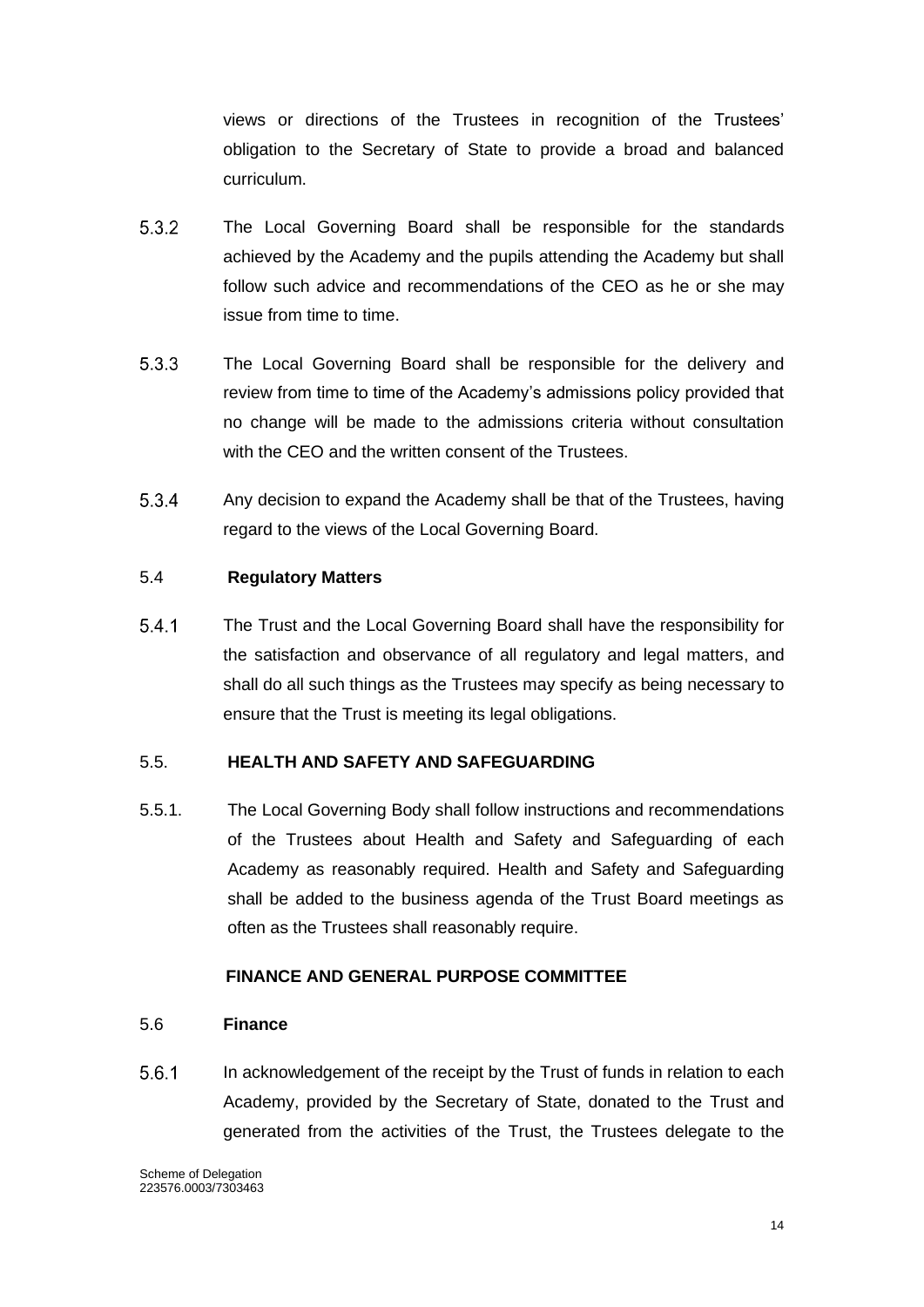views or directions of the Trustees in recognition of the Trustees' obligation to the Secretary of State to provide a broad and balanced curriculum.

- $5.3.2$ The Local Governing Board shall be responsible for the standards achieved by the Academy and the pupils attending the Academy but shall follow such advice and recommendations of the CEO as he or she may issue from time to time.
- $5.3.3$ The Local Governing Board shall be responsible for the delivery and review from time to time of the Academy's admissions policy provided that no change will be made to the admissions criteria without consultation with the CEO and the written consent of the Trustees.
- 5.3.4 Any decision to expand the Academy shall be that of the Trustees, having regard to the views of the Local Governing Board.

## 5.4 **Regulatory Matters**

 $5.4.1$ The Trust and the Local Governing Board shall have the responsibility for the satisfaction and observance of all regulatory and legal matters, and shall do all such things as the Trustees may specify as being necessary to ensure that the Trust is meeting its legal obligations.

#### 5.5. **HEALTH AND SAFETY AND SAFEGUARDING**

5.5.1. The Local Governing Body shall follow instructions and recommendations of the Trustees about Health and Safety and Safeguarding of each Academy as reasonably required. Health and Safety and Safeguarding shall be added to the business agenda of the Trust Board meetings as often as the Trustees shall reasonably require.

#### **FINANCE AND GENERAL PURPOSE COMMITTEE**

#### 5.6 **Finance**

 $5.6.1$ In acknowledgement of the receipt by the Trust of funds in relation to each Academy, provided by the Secretary of State, donated to the Trust and generated from the activities of the Trust, the Trustees delegate to the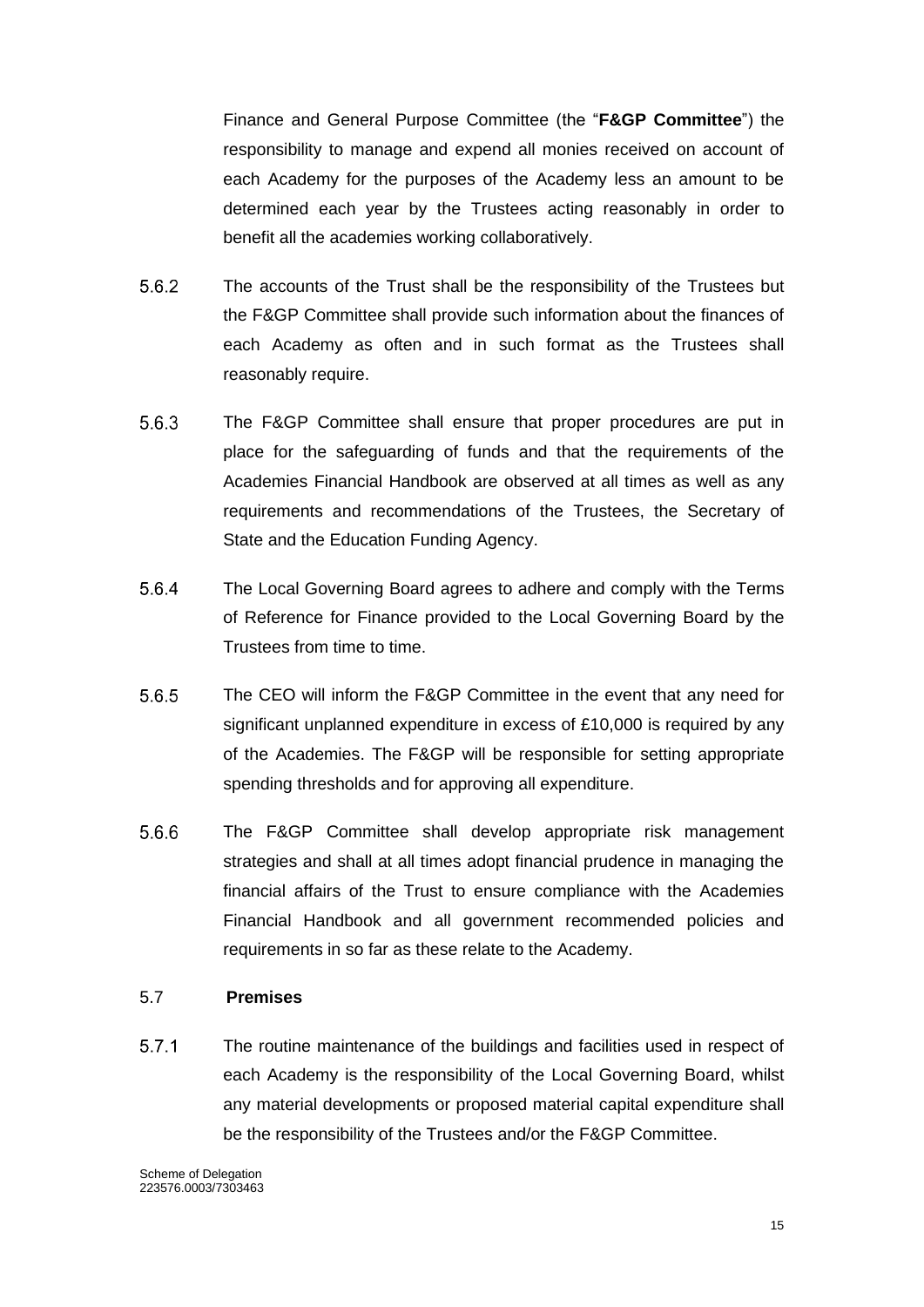Finance and General Purpose Committee (the "**F&GP Committee**") the responsibility to manage and expend all monies received on account of each Academy for the purposes of the Academy less an amount to be determined each year by the Trustees acting reasonably in order to benefit all the academies working collaboratively.

- $5.6.2$ The accounts of the Trust shall be the responsibility of the Trustees but the F&GP Committee shall provide such information about the finances of each Academy as often and in such format as the Trustees shall reasonably require.
- $5.6.3$ The F&GP Committee shall ensure that proper procedures are put in place for the safeguarding of funds and that the requirements of the Academies Financial Handbook are observed at all times as well as any requirements and recommendations of the Trustees, the Secretary of State and the Education Funding Agency.
- 5.6.4 The Local Governing Board agrees to adhere and comply with the Terms of Reference for Finance provided to the Local Governing Board by the Trustees from time to time.
- 5.6.5 The CEO will inform the F&GP Committee in the event that any need for significant unplanned expenditure in excess of £10,000 is required by any of the Academies. The F&GP will be responsible for setting appropriate spending thresholds and for approving all expenditure.
- 5.6.6 The F&GP Committee shall develop appropriate risk management strategies and shall at all times adopt financial prudence in managing the financial affairs of the Trust to ensure compliance with the Academies Financial Handbook and all government recommended policies and requirements in so far as these relate to the Academy.

#### 5.7 **Premises**

 $5.7.1$ The routine maintenance of the buildings and facilities used in respect of each Academy is the responsibility of the Local Governing Board, whilst any material developments or proposed material capital expenditure shall be the responsibility of the Trustees and/or the F&GP Committee.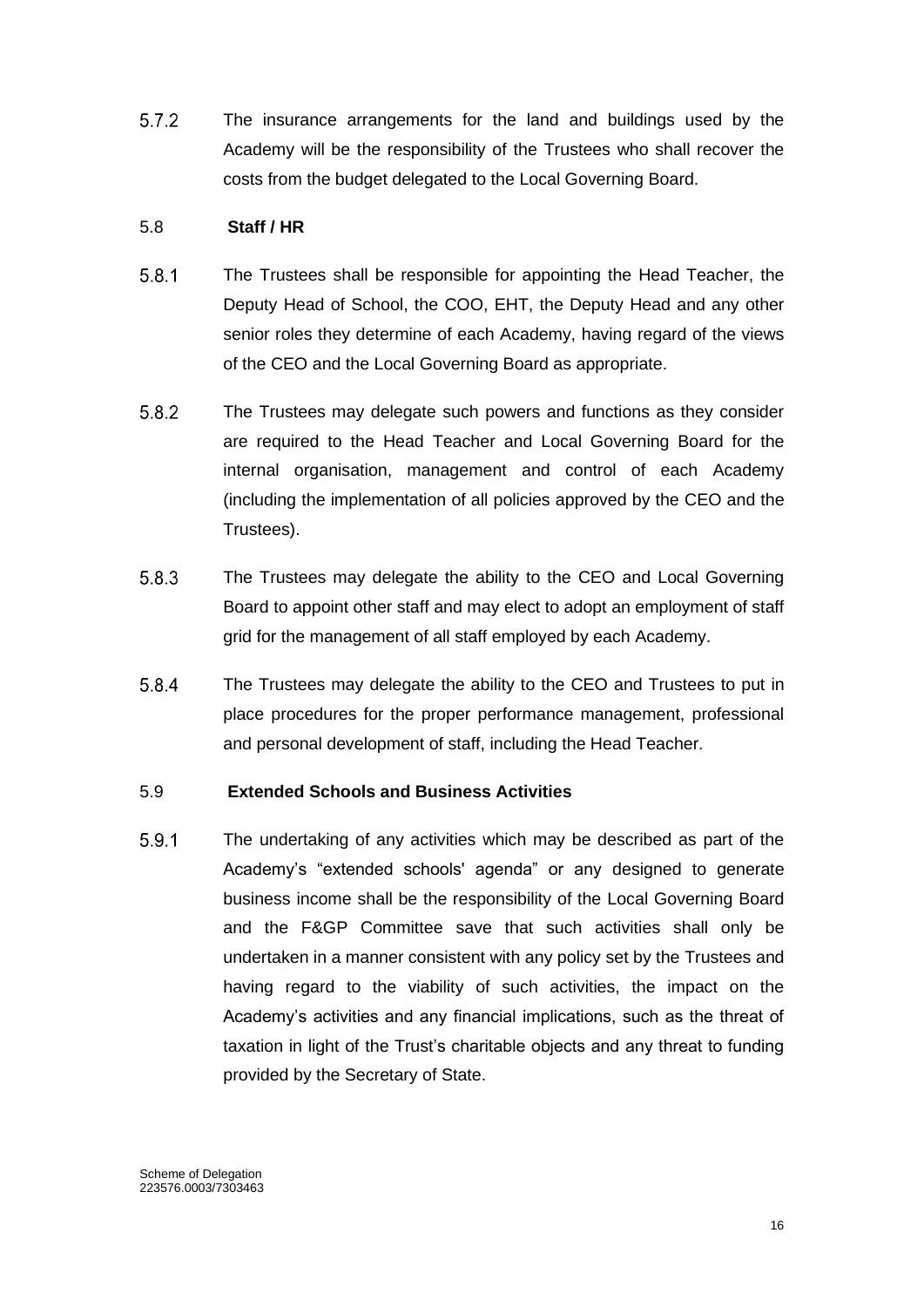$5.7.2$ The insurance arrangements for the land and buildings used by the Academy will be the responsibility of the Trustees who shall recover the costs from the budget delegated to the Local Governing Board.

## 5.8 **Staff / HR**

- $5.8.1$ The Trustees shall be responsible for appointing the Head Teacher, the Deputy Head of School, the COO, EHT, the Deputy Head and any other senior roles they determine of each Academy, having regard of the views of the CEO and the Local Governing Board as appropriate.
- $5.8.2$ The Trustees may delegate such powers and functions as they consider are required to the Head Teacher and Local Governing Board for the internal organisation, management and control of each Academy (including the implementation of all policies approved by the CEO and the Trustees).
- 5.8.3 The Trustees may delegate the ability to the CEO and Local Governing Board to appoint other staff and may elect to adopt an employment of staff grid for the management of all staff employed by each Academy.
- $5.8.4$ The Trustees may delegate the ability to the CEO and Trustees to put in place procedures for the proper performance management, professional and personal development of staff, including the Head Teacher.

#### 5.9 **Extended Schools and Business Activities**

5.9.1 The undertaking of any activities which may be described as part of the Academy's "extended schools' agenda" or any designed to generate business income shall be the responsibility of the Local Governing Board and the F&GP Committee save that such activities shall only be undertaken in a manner consistent with any policy set by the Trustees and having regard to the viability of such activities, the impact on the Academy's activities and any financial implications, such as the threat of taxation in light of the Trust's charitable objects and any threat to funding provided by the Secretary of State.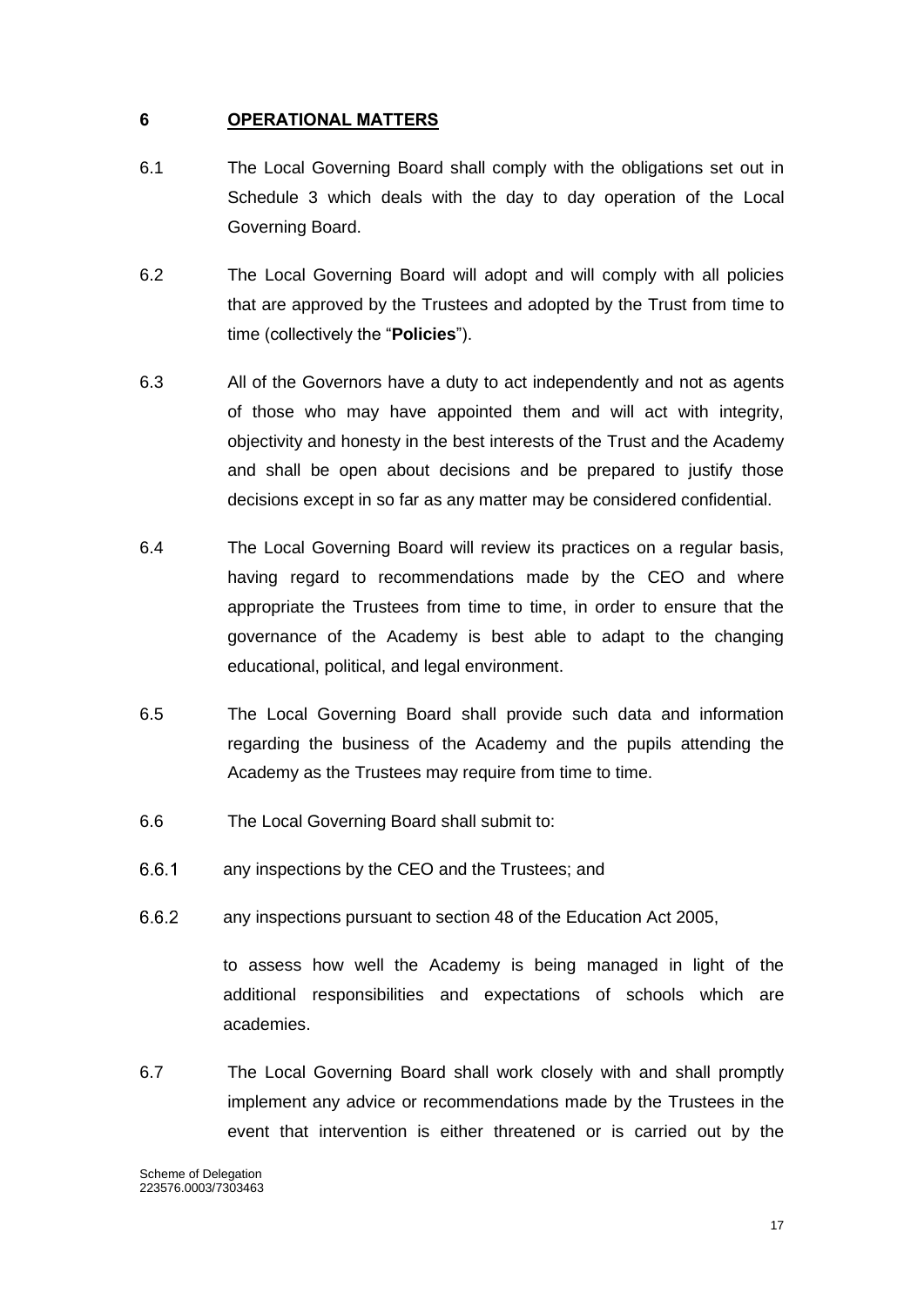### <span id="page-17-0"></span>**6 OPERATIONAL MATTERS**

- 6.1 The Local Governing Board shall comply with the obligations set out in Schedule 3 which deals with the day to day operation of the Local Governing Board.
- 6.2 The Local Governing Board will adopt and will comply with all policies that are approved by the Trustees and adopted by the Trust from time to time (collectively the "**Policies**").
- 6.3 All of the Governors have a duty to act independently and not as agents of those who may have appointed them and will act with integrity, objectivity and honesty in the best interests of the Trust and the Academy and shall be open about decisions and be prepared to justify those decisions except in so far as any matter may be considered confidential.
- 6.4 The Local Governing Board will review its practices on a regular basis, having regard to recommendations made by the CEO and where appropriate the Trustees from time to time, in order to ensure that the governance of the Academy is best able to adapt to the changing educational, political, and legal environment.
- 6.5 The Local Governing Board shall provide such data and information regarding the business of the Academy and the pupils attending the Academy as the Trustees may require from time to time.
- 6.6 The Local Governing Board shall submit to:
- $6.6.1$ any inspections by the CEO and the Trustees; and
- $6.6.2$ any inspections pursuant to section 48 of the Education Act 2005,

to assess how well the Academy is being managed in light of the additional responsibilities and expectations of schools which are academies.

6.7 The Local Governing Board shall work closely with and shall promptly implement any advice or recommendations made by the Trustees in the event that intervention is either threatened or is carried out by the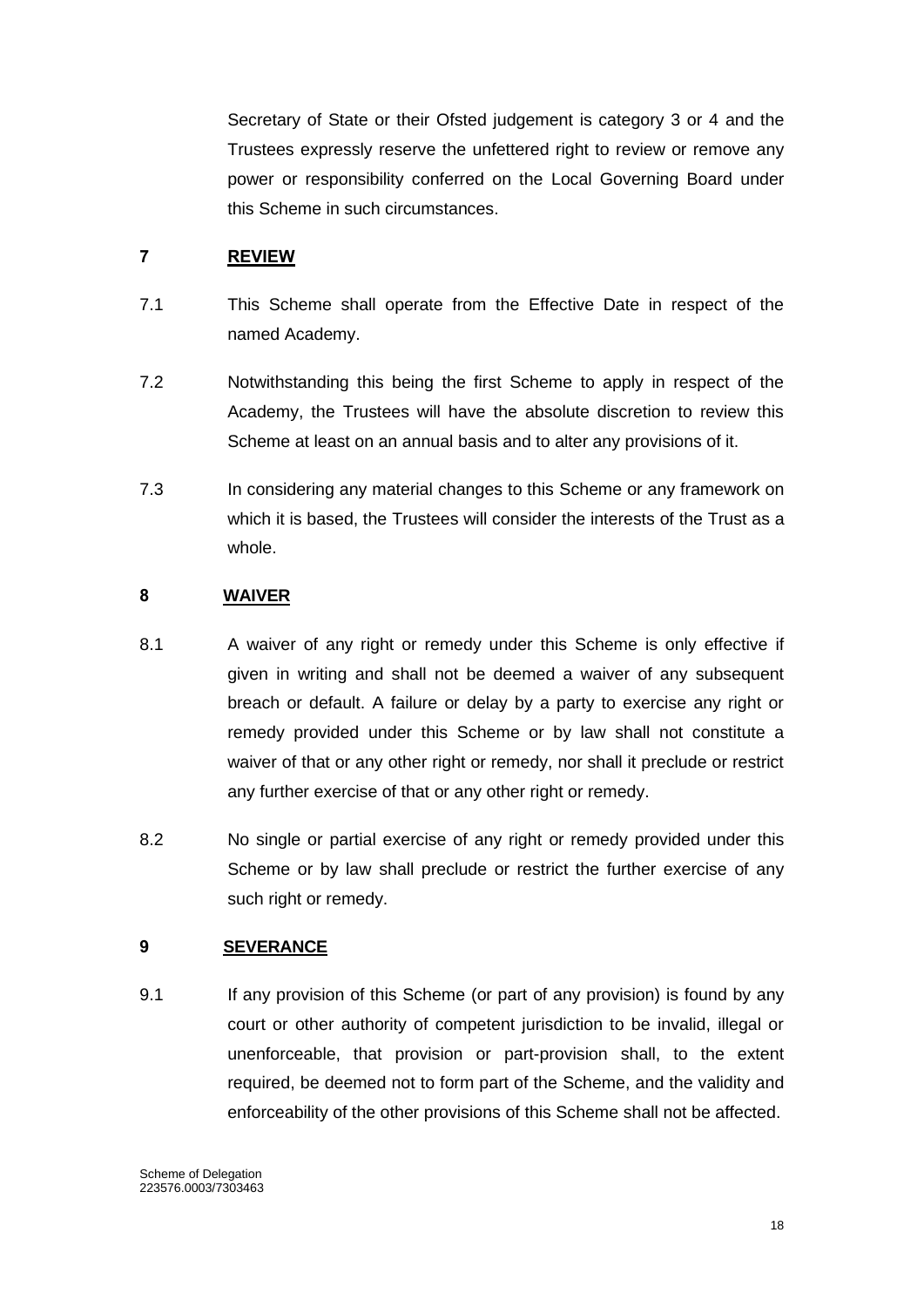Secretary of State or their Ofsted judgement is category 3 or 4 and the Trustees expressly reserve the unfettered right to review or remove any power or responsibility conferred on the Local Governing Board under this Scheme in such circumstances.

## <span id="page-18-0"></span>**7 REVIEW**

- 7.1 This Scheme shall operate from the Effective Date in respect of the named Academy.
- 7.2 Notwithstanding this being the first Scheme to apply in respect of the Academy, the Trustees will have the absolute discretion to review this Scheme at least on an annual basis and to alter any provisions of it.
- 7.3 In considering any material changes to this Scheme or any framework on which it is based, the Trustees will consider the interests of the Trust as a whole.

## <span id="page-18-1"></span>**8 WAIVER**

- 8.1 A waiver of any right or remedy under this Scheme is only effective if given in writing and shall not be deemed a waiver of any subsequent breach or default. A failure or delay by a party to exercise any right or remedy provided under this Scheme or by law shall not constitute a waiver of that or any other right or remedy, nor shall it preclude or restrict any further exercise of that or any other right or remedy.
- 8.2 No single or partial exercise of any right or remedy provided under this Scheme or by law shall preclude or restrict the further exercise of any such right or remedy.

## <span id="page-18-2"></span>**9 SEVERANCE**

9.1 If any provision of this Scheme (or part of any provision) is found by any court or other authority of competent jurisdiction to be invalid, illegal or unenforceable, that provision or part-provision shall, to the extent required, be deemed not to form part of the Scheme, and the validity and enforceability of the other provisions of this Scheme shall not be affected.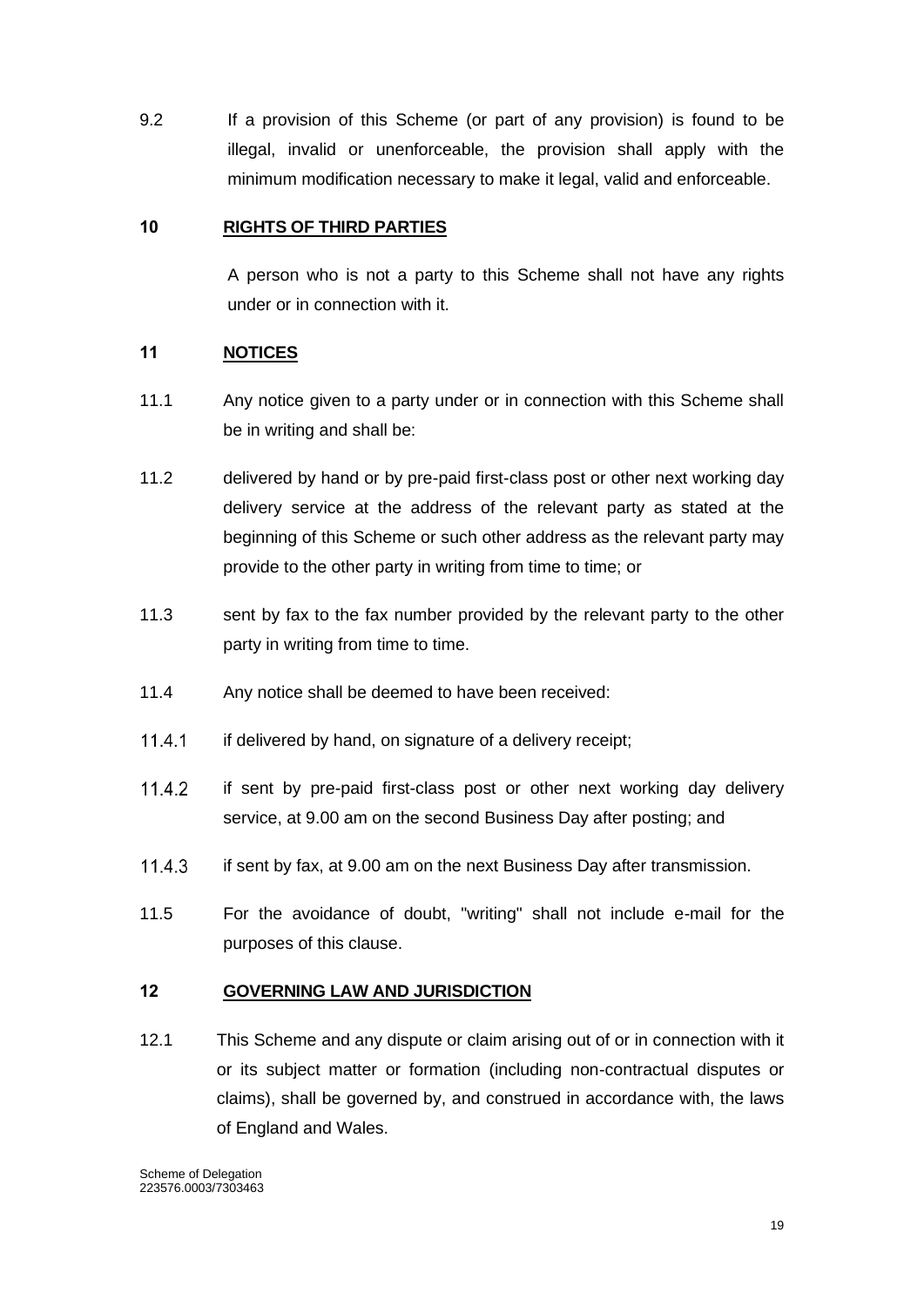9.2 If a provision of this Scheme (or part of any provision) is found to be illegal, invalid or unenforceable, the provision shall apply with the minimum modification necessary to make it legal, valid and enforceable.

## <span id="page-19-0"></span>**10 RIGHTS OF THIRD PARTIES**

A person who is not a party to this Scheme shall not have any rights under or in connection with it.

## <span id="page-19-1"></span>**11 NOTICES**

- 11.1 Any notice given to a party under or in connection with this Scheme shall be in writing and shall be:
- 11.2 delivered by hand or by pre-paid first-class post or other next working day delivery service at the address of the relevant party as stated at the beginning of this Scheme or such other address as the relevant party may provide to the other party in writing from time to time; or
- 11.3 sent by fax to the fax number provided by the relevant party to the other party in writing from time to time.
- 11.4 Any notice shall be deemed to have been received:
- $11.4.1$ if delivered by hand, on signature of a delivery receipt;
- $11.4.2$ if sent by pre-paid first-class post or other next working day delivery service, at 9.00 am on the second Business Day after posting; and
- 11.4.3 if sent by fax, at 9.00 am on the next Business Day after transmission.
- 11.5 For the avoidance of doubt, "writing" shall not include e-mail for the purposes of this clause.

#### <span id="page-19-2"></span>**12 GOVERNING LAW AND JURISDICTION**

12.1 This Scheme and any dispute or claim arising out of or in connection with it or its subject matter or formation (including non-contractual disputes or claims), shall be governed by, and construed in accordance with, the laws of England and Wales.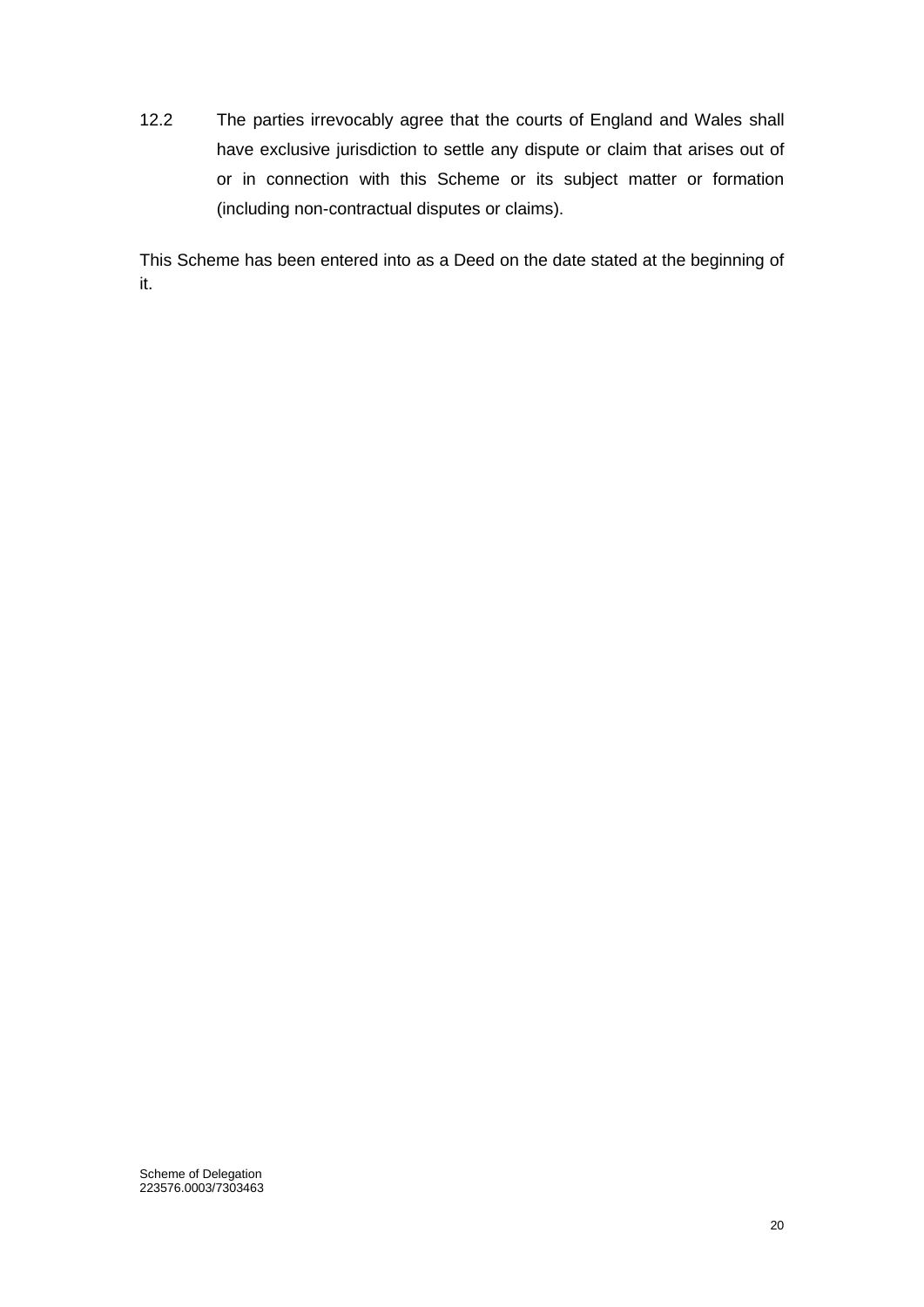12.2 The parties irrevocably agree that the courts of England and Wales shall have exclusive jurisdiction to settle any dispute or claim that arises out of or in connection with this Scheme or its subject matter or formation (including non-contractual disputes or claims).

This Scheme has been entered into as a Deed on the date stated at the beginning of it.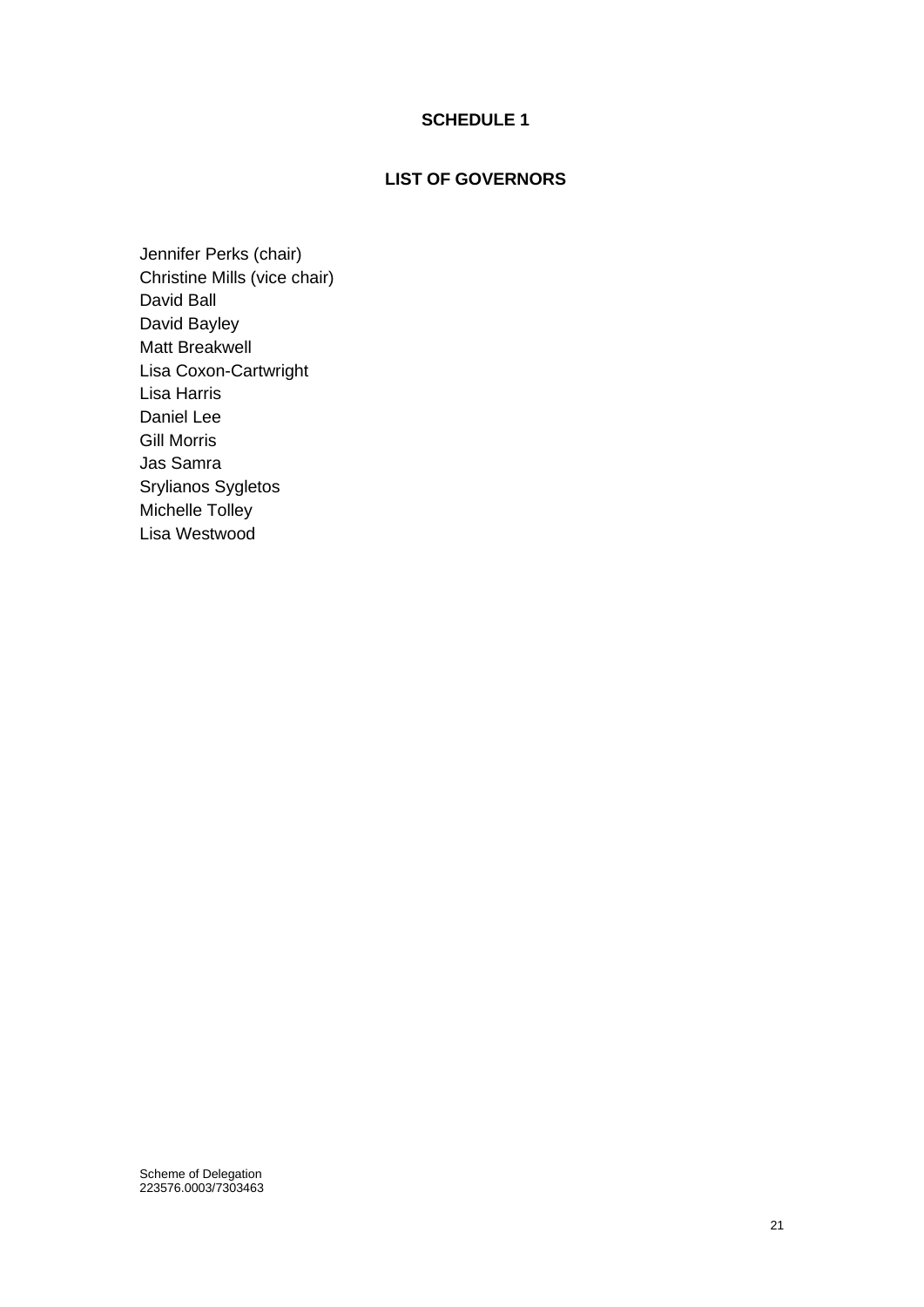## **SCHEDULE 1**

## **LIST OF GOVERNORS**

<span id="page-21-0"></span>Jennifer Perks (chair) Christine Mills (vice chair) David Ball David Bayley Matt Breakwell Lisa Coxon-Cartwright Lisa Harris Daniel Lee Gill Morris Jas Samra Srylianos Sygletos Michelle Tolley Lisa Westwood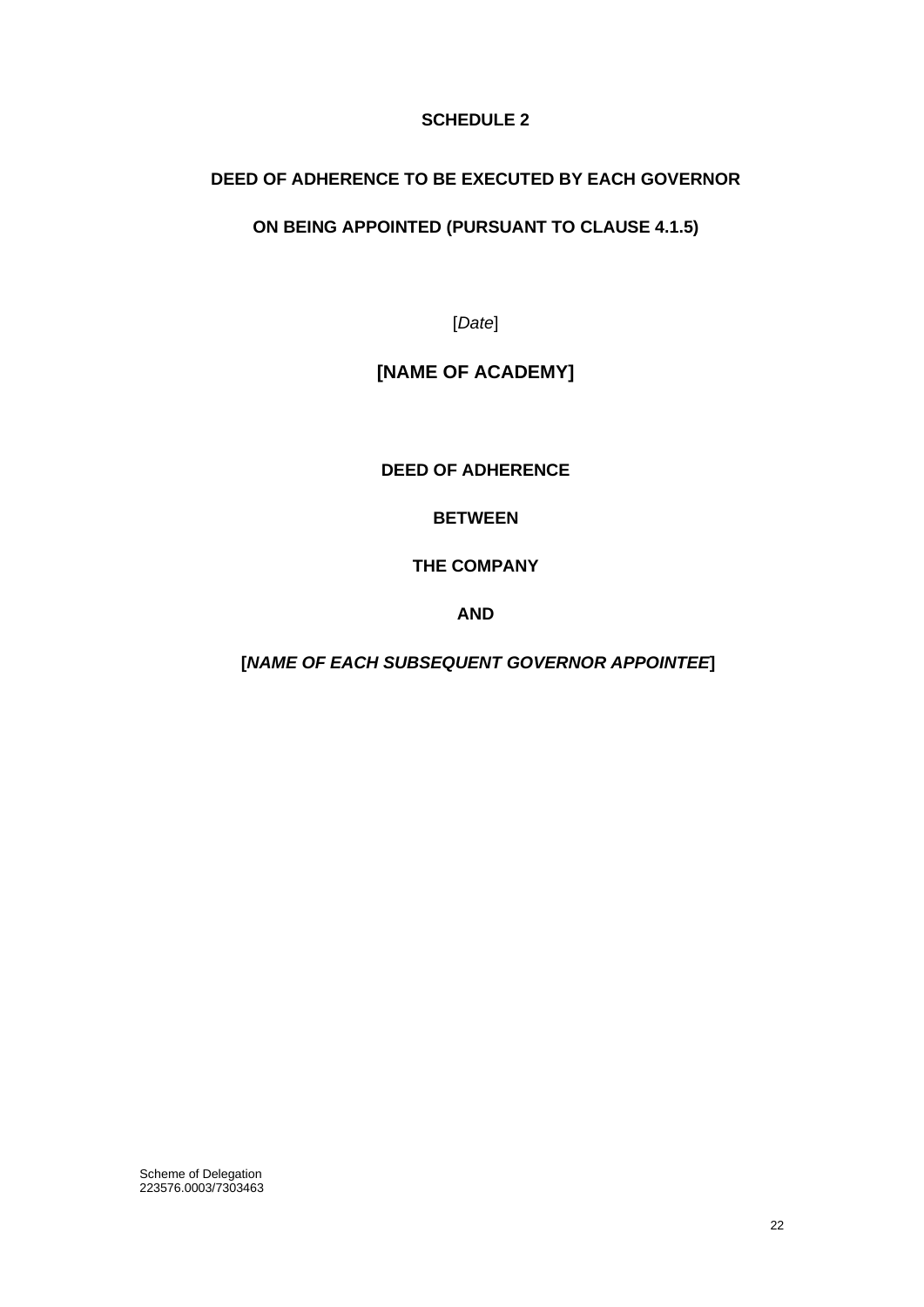## **SCHEDULE 2**

## <span id="page-22-0"></span>**DEED OF ADHERENCE TO BE EXECUTED BY EACH GOVERNOR**

## **ON BEING APPOINTED (PURSUANT TO CLAUSE 4.1.5)**

[*Date*]

# **[NAME OF ACADEMY]**

**DEED OF ADHERENCE**

**BETWEEN**

**THE COMPANY**

**AND** 

**[***NAME OF EACH SUBSEQUENT GOVERNOR APPOINTEE***]**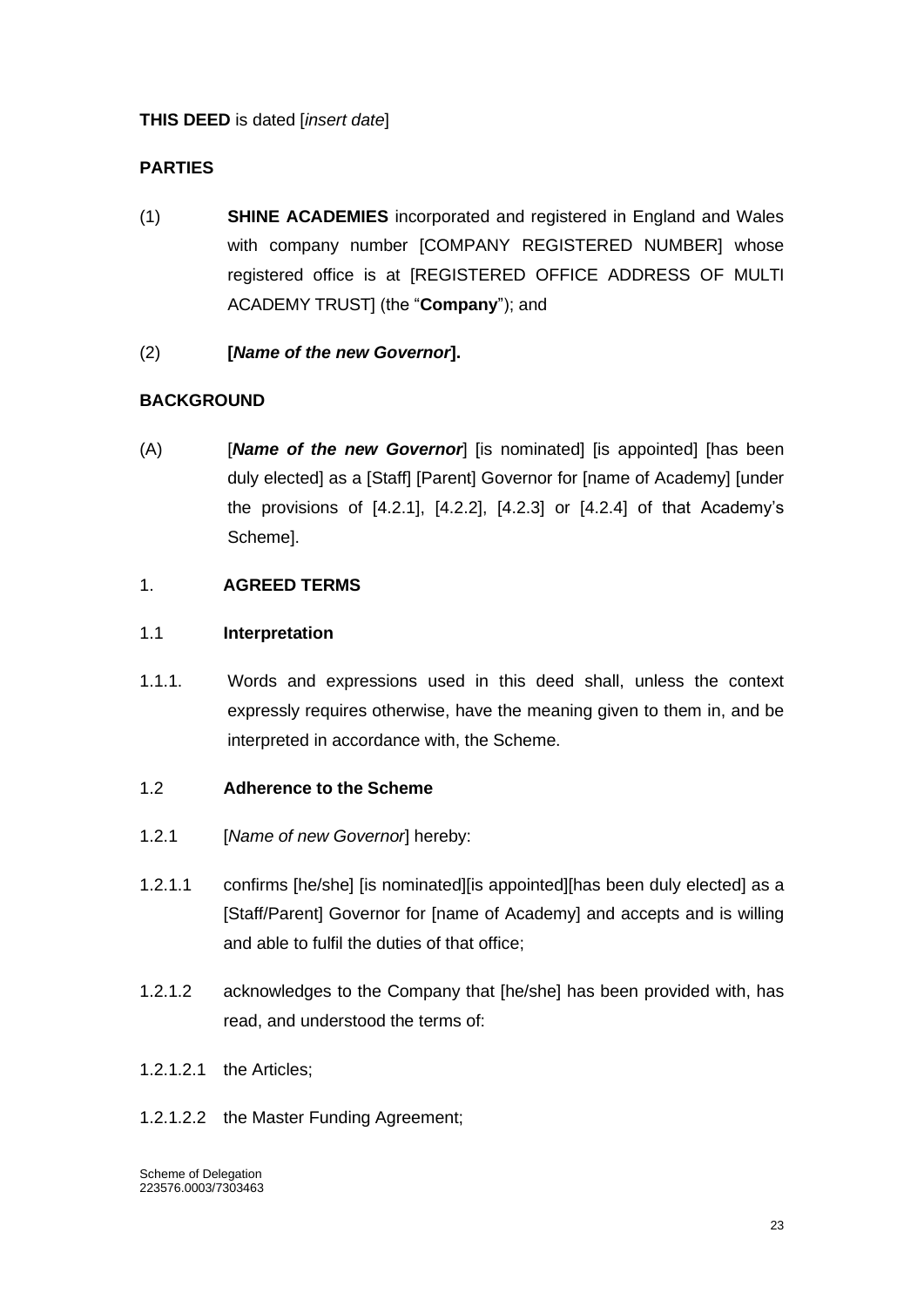## **THIS DEED** is dated [*insert date*]

## **PARTIES**

- (1) **SHINE ACADEMIES** incorporated and registered in England and Wales with company number [COMPANY REGISTERED NUMBER] whose registered office is at [REGISTERED OFFICE ADDRESS OF MULTI ACADEMY TRUST] (the "**Company**"); and
- (2) **[***Name of the new Governor***].**

## **BACKGROUND**

(A) [*Name of the new Governor*] [is nominated] [is appointed] [has been duly elected] as a [Staff] [Parent] Governor for [name of Academy] [under the provisions of [4.2.1], [4.2.2], [4.2.3] or [4.2.4] of that Academy's Scheme].

## 1. **AGREED TERMS**

## 1.1 **Interpretation**

1.1.1. Words and expressions used in this deed shall, unless the context expressly requires otherwise, have the meaning given to them in, and be interpreted in accordance with, the Scheme.

#### 1.2 **Adherence to the Scheme**

- 1.2.1 [*Name of new Governor*] hereby:
- 1.2.1.1 confirms [he/she] [is nominated][is appointed][has been duly elected] as a [Staff/Parent] Governor for [name of Academy] and accepts and is willing and able to fulfil the duties of that office;
- 1.2.1.2 acknowledges to the Company that [he/she] has been provided with, has read, and understood the terms of:
- 1.2.1.2.1 the Articles;
- 1.2.1.2.2 the Master Funding Agreement;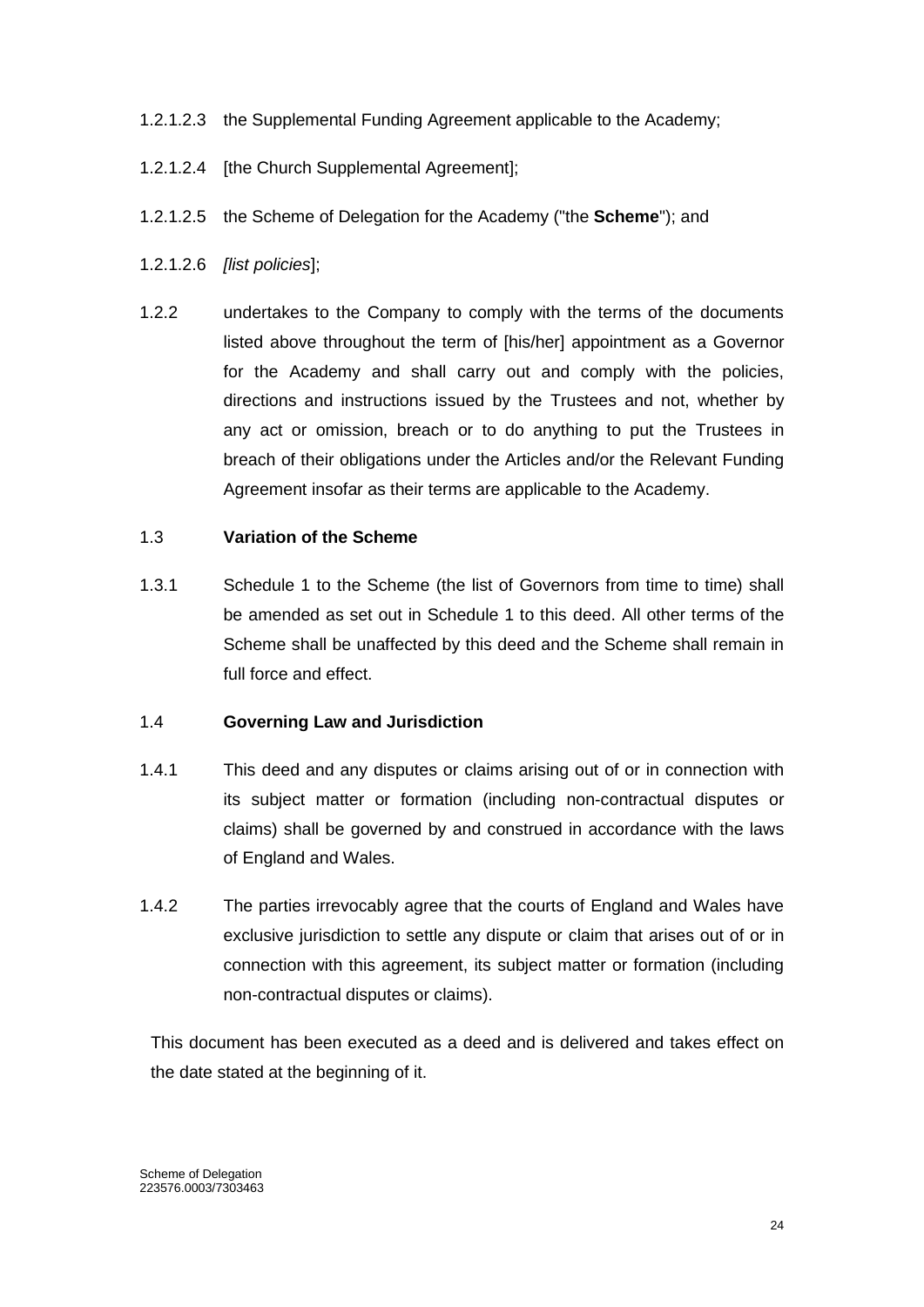## 1.2.1.2.3 the Supplemental Funding Agreement applicable to the Academy;

- 1.2.1.2.4 [the Church Supplemental Agreement];
- 1.2.1.2.5 the Scheme of Delegation for the Academy ("the **Scheme**"); and
- 1.2.1.2.6 *[list policies*];
- 1.2.2 undertakes to the Company to comply with the terms of the documents listed above throughout the term of [his/her] appointment as a Governor for the Academy and shall carry out and comply with the policies, directions and instructions issued by the Trustees and not, whether by any act or omission, breach or to do anything to put the Trustees in breach of their obligations under the Articles and/or the Relevant Funding Agreement insofar as their terms are applicable to the Academy.

#### 1.3 **Variation of the Scheme**

1.3.1 Schedule 1 to the Scheme (the list of Governors from time to time) shall be amended as set out in Schedule 1 to this deed. All other terms of the Scheme shall be unaffected by this deed and the Scheme shall remain in full force and effect.

#### 1.4 **Governing Law and Jurisdiction**

- 1.4.1 This deed and any disputes or claims arising out of or in connection with its subject matter or formation (including non-contractual disputes or claims) shall be governed by and construed in accordance with the laws of England and Wales.
- 1.4.2 The parties irrevocably agree that the courts of England and Wales have exclusive jurisdiction to settle any dispute or claim that arises out of or in connection with this agreement, its subject matter or formation (including non-contractual disputes or claims).

This document has been executed as a deed and is delivered and takes effect on the date stated at the beginning of it.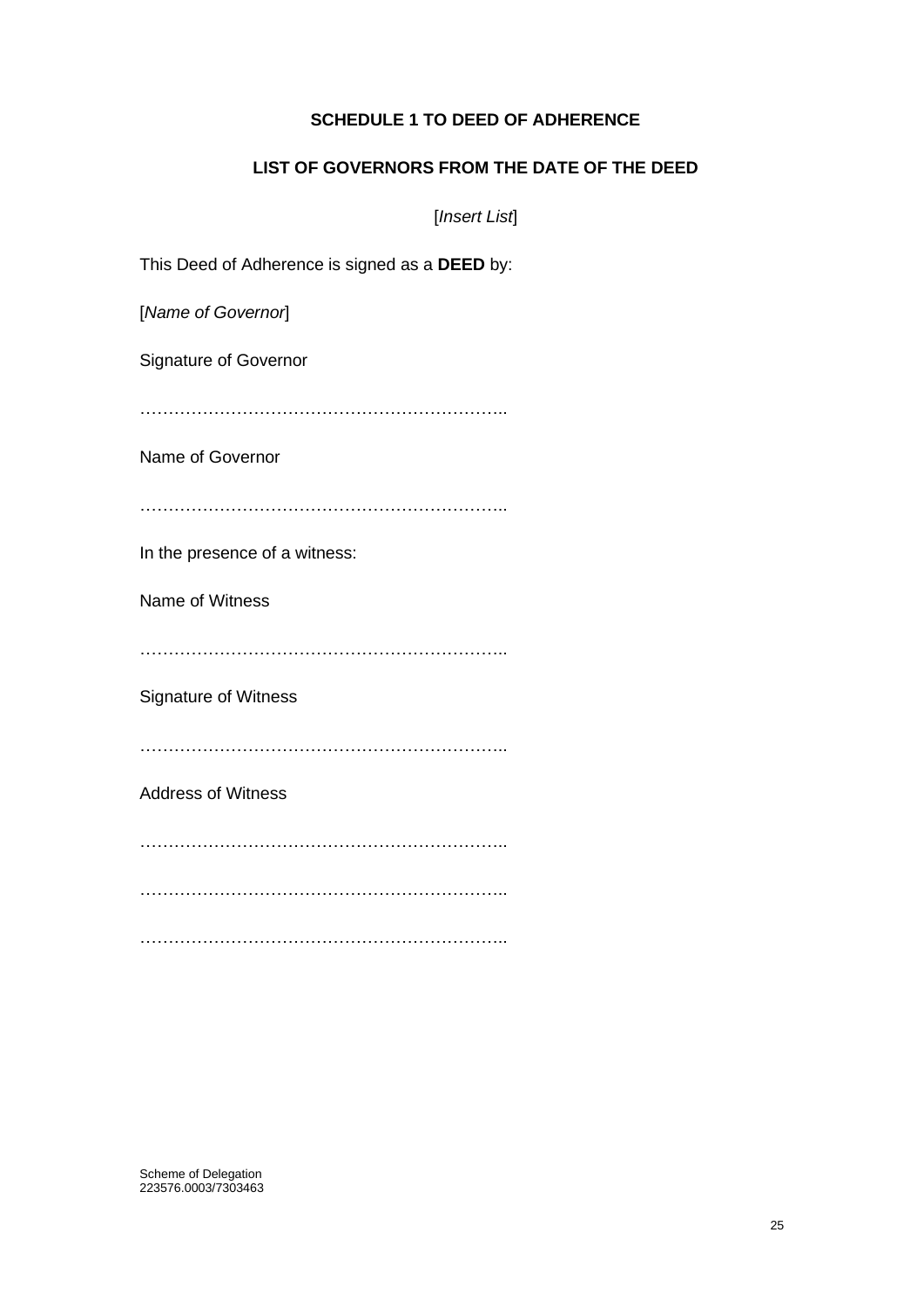## **SCHEDULE 1 TO DEED OF ADHERENCE**

## **LIST OF GOVERNORS FROM THE DATE OF THE DEED**

[*Insert List*]

This Deed of Adherence is signed as a **DEED** by:

[*Name of Governor*]

Signature of Governor

………………………………………………………..

Name of Governor

………………………………………………………..

In the presence of a witness:

Name of Witness

………………………………………………………..

Signature of Witness

………………………………………………………..

Address of Witness

………………………………………………………..

………………………………………………………..

………………………………………………………..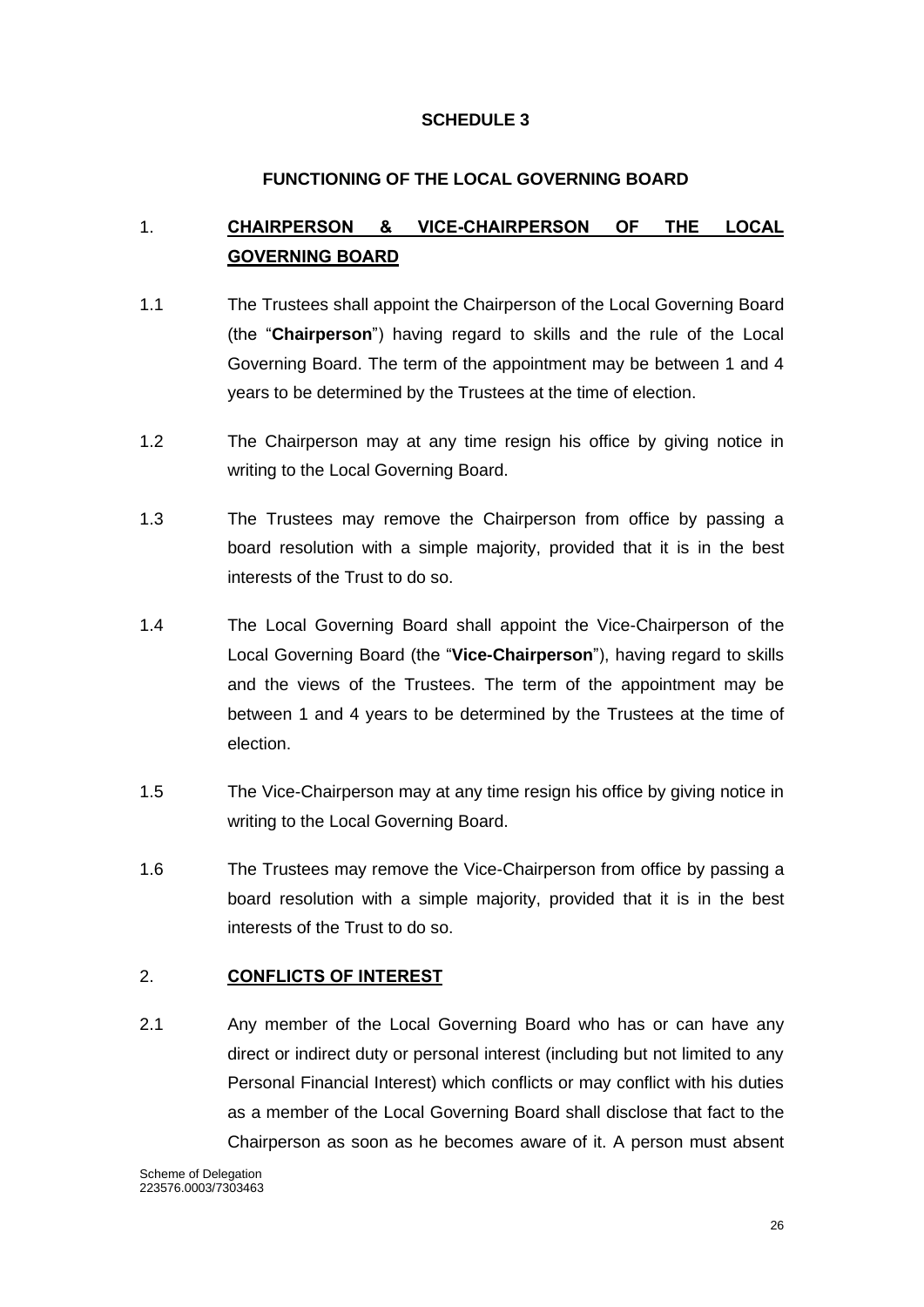## **SCHEDULE 3**

## **FUNCTIONING OF THE LOCAL GOVERNING BOARD**

# <span id="page-26-1"></span><span id="page-26-0"></span>1. **CHAIRPERSON & VICE-CHAIRPERSON OF THE LOCAL GOVERNING BOARD**

- 1.1 The Trustees shall appoint the Chairperson of the Local Governing Board (the "**Chairperson**") having regard to skills and the rule of the Local Governing Board. The term of the appointment may be between 1 and 4 years to be determined by the Trustees at the time of election.
- 1.2 The Chairperson may at any time resign his office by giving notice in writing to the Local Governing Board.
- 1.3 The Trustees may remove the Chairperson from office by passing a board resolution with a simple majority, provided that it is in the best interests of the Trust to do so.
- 1.4 The Local Governing Board shall appoint the Vice-Chairperson of the Local Governing Board (the "**Vice-Chairperson**"), having regard to skills and the views of the Trustees. The term of the appointment may be between 1 and 4 years to be determined by the Trustees at the time of election.
- 1.5 The Vice-Chairperson may at any time resign his office by giving notice in writing to the Local Governing Board.
- 1.6 The Trustees may remove the Vice-Chairperson from office by passing a board resolution with a simple majority, provided that it is in the best interests of the Trust to do so.

## <span id="page-26-2"></span>2. **CONFLICTS OF INTEREST**

2.1 Any member of the Local Governing Board who has or can have any direct or indirect duty or personal interest (including but not limited to any Personal Financial Interest) which conflicts or may conflict with his duties as a member of the Local Governing Board shall disclose that fact to the Chairperson as soon as he becomes aware of it. A person must absent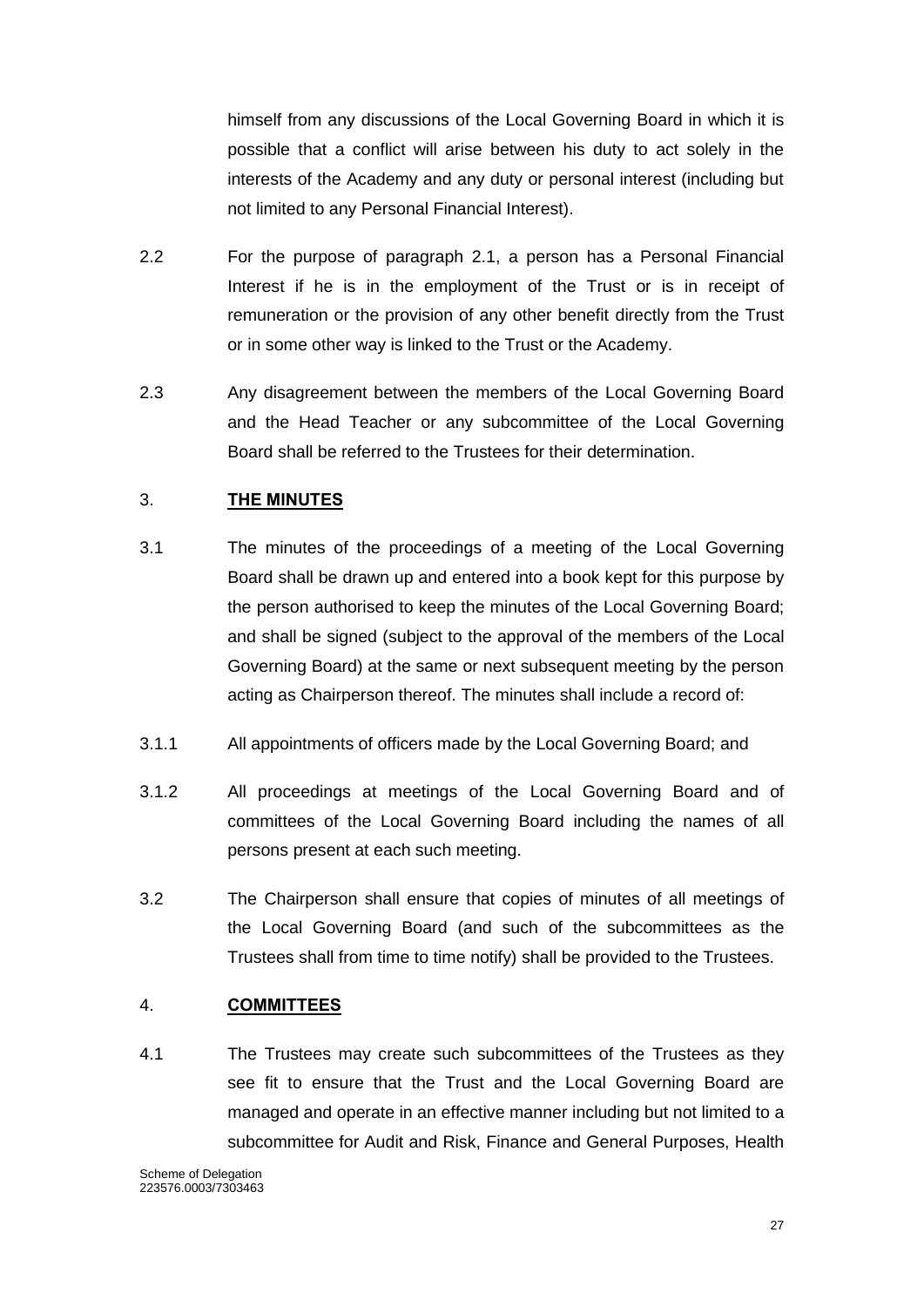himself from any discussions of the Local Governing Board in which it is possible that a conflict will arise between his duty to act solely in the interests of the Academy and any duty or personal interest (including but not limited to any Personal Financial Interest).

- 2.2 For the purpose of paragraph 2.1, a person has a Personal Financial Interest if he is in the employment of the Trust or is in receipt of remuneration or the provision of any other benefit directly from the Trust or in some other way is linked to the Trust or the Academy.
- 2.3 Any disagreement between the members of the Local Governing Board and the Head Teacher or any subcommittee of the Local Governing Board shall be referred to the Trustees for their determination.

## <span id="page-27-0"></span>3. **THE MINUTES**

- 3.1 The minutes of the proceedings of a meeting of the Local Governing Board shall be drawn up and entered into a book kept for this purpose by the person authorised to keep the minutes of the Local Governing Board; and shall be signed (subject to the approval of the members of the Local Governing Board) at the same or next subsequent meeting by the person acting as Chairperson thereof. The minutes shall include a record of:
- 3.1.1 All appointments of officers made by the Local Governing Board; and
- 3.1.2 All proceedings at meetings of the Local Governing Board and of committees of the Local Governing Board including the names of all persons present at each such meeting.
- 3.2 The Chairperson shall ensure that copies of minutes of all meetings of the Local Governing Board (and such of the subcommittees as the Trustees shall from time to time notify) shall be provided to the Trustees.

#### <span id="page-27-1"></span>4. **COMMITTEES**

4.1 The Trustees may create such subcommittees of the Trustees as they see fit to ensure that the Trust and the Local Governing Board are managed and operate in an effective manner including but not limited to a subcommittee for Audit and Risk, Finance and General Purposes, Health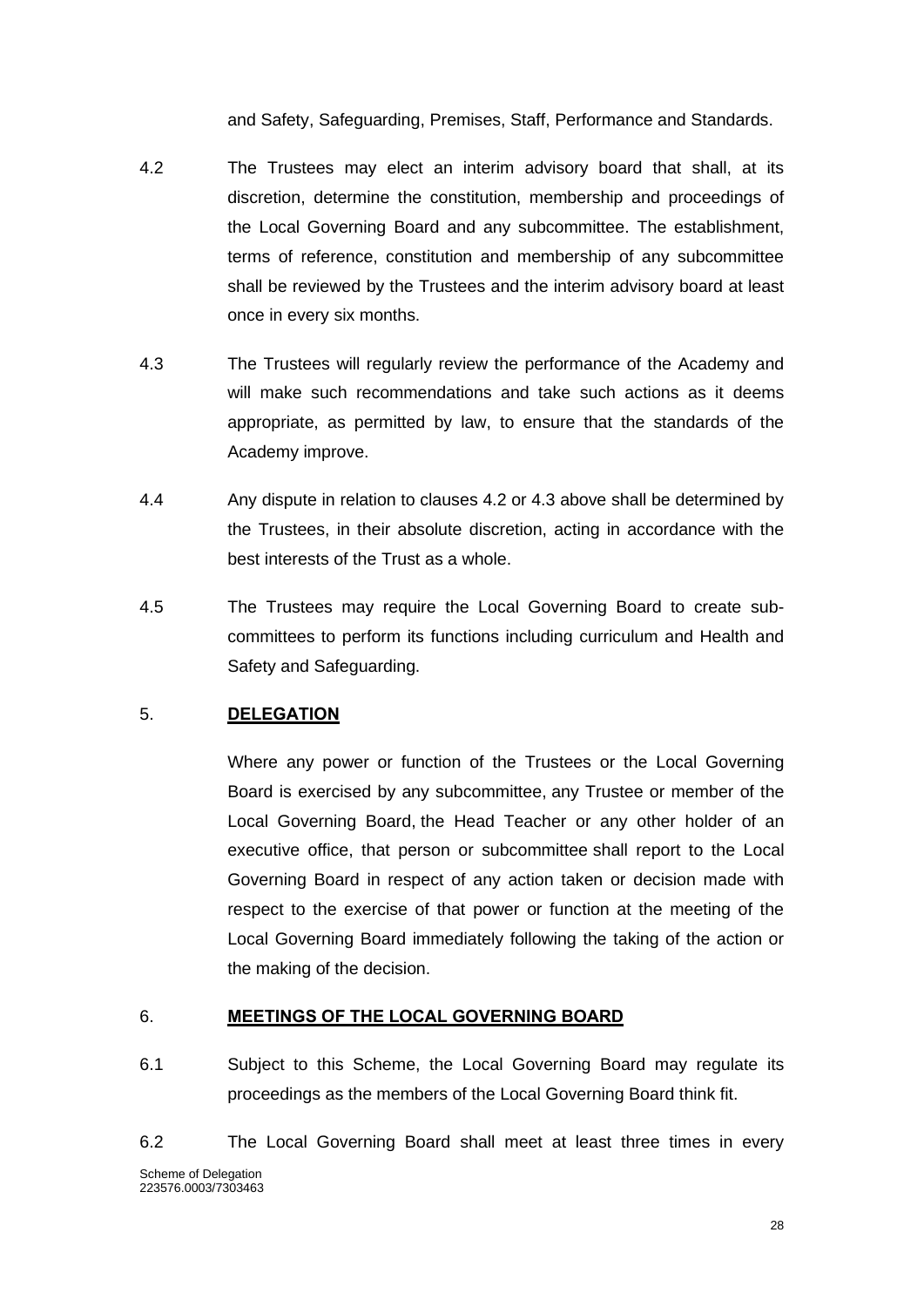and Safety, Safeguarding, Premises, Staff, Performance and Standards.

- 4.2 The Trustees may elect an interim advisory board that shall, at its discretion, determine the constitution, membership and proceedings of the Local Governing Board and any subcommittee. The establishment, terms of reference, constitution and membership of any subcommittee shall be reviewed by the Trustees and the interim advisory board at least once in every six months.
- 4.3 The Trustees will regularly review the performance of the Academy and will make such recommendations and take such actions as it deems appropriate, as permitted by law, to ensure that the standards of the Academy improve.
- 4.4 Any dispute in relation to clauses 4.2 or 4.3 above shall be determined by the Trustees, in their absolute discretion, acting in accordance with the best interests of the Trust as a whole.
- 4.5 The Trustees may require the Local Governing Board to create subcommittees to perform its functions including curriculum and Health and Safety and Safeguarding.

## <span id="page-28-0"></span>5. **DELEGATION**

Where any power or function of the Trustees or the Local Governing Board is exercised by any subcommittee, any Trustee or member of the Local Governing Board, the Head Teacher or any other holder of an executive office, that person or subcommittee shall report to the Local Governing Board in respect of any action taken or decision made with respect to the exercise of that power or function at the meeting of the Local Governing Board immediately following the taking of the action or the making of the decision.

#### <span id="page-28-1"></span>6. **MEETINGS OF THE LOCAL GOVERNING BOARD**

- 6.1 Subject to this Scheme, the Local Governing Board may regulate its proceedings as the members of the Local Governing Board think fit.
- Scheme of Delegation 223576.0003/7303463 6.2 The Local Governing Board shall meet at least three times in every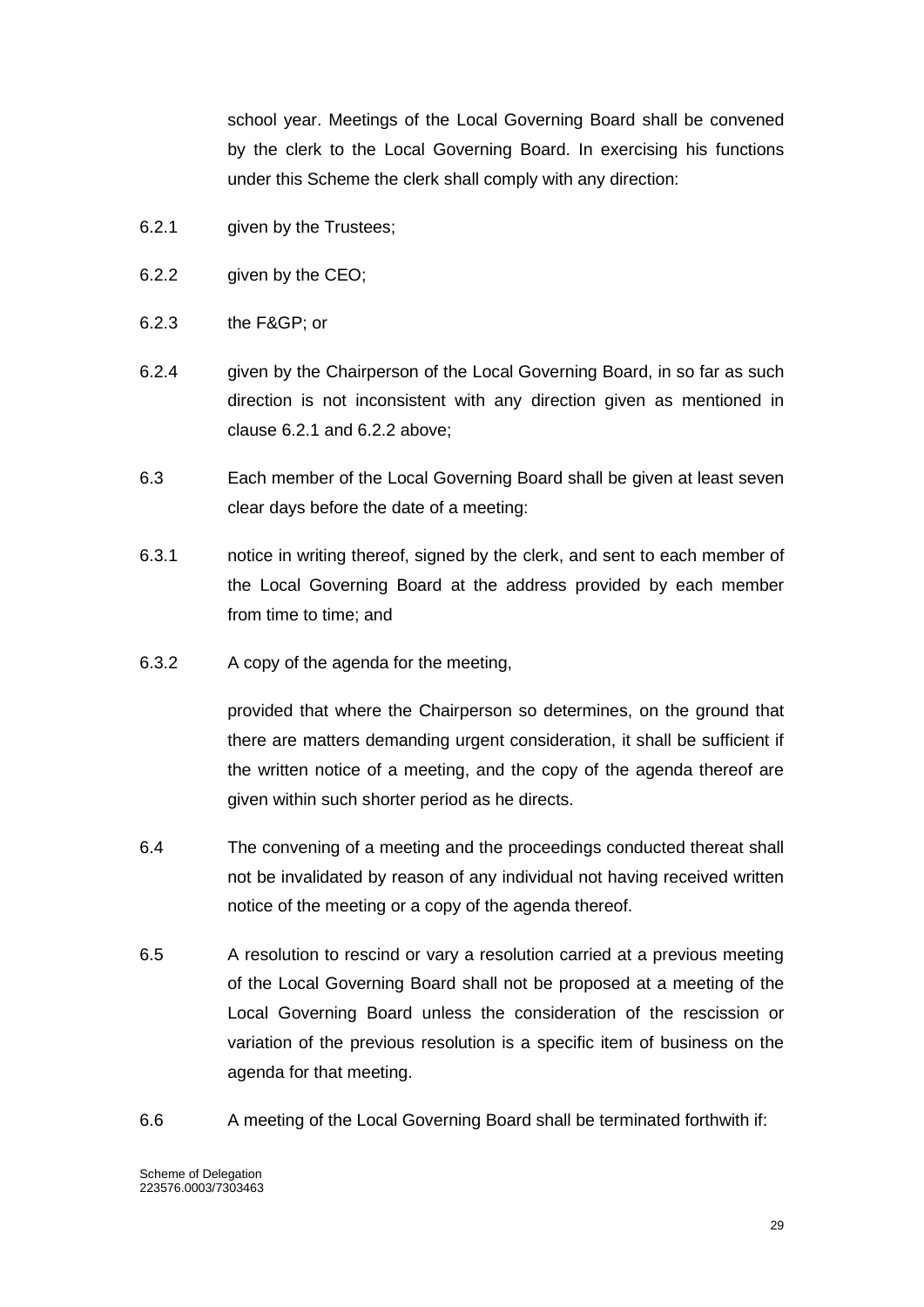school year. Meetings of the Local Governing Board shall be convened by the clerk to the Local Governing Board. In exercising his functions under this Scheme the clerk shall comply with any direction:

- 6.2.1 given by the Trustees;
- 6.2.2 given by the CEO;
- 6.2.3 the F&GP; or
- 6.2.4 given by the Chairperson of the Local Governing Board, in so far as such direction is not inconsistent with any direction given as mentioned in clause 6.2.1 and 6.2.2 above;
- 6.3 Each member of the Local Governing Board shall be given at least seven clear days before the date of a meeting:
- 6.3.1 notice in writing thereof, signed by the clerk, and sent to each member of the Local Governing Board at the address provided by each member from time to time; and
- 6.3.2 A copy of the agenda for the meeting,

provided that where the Chairperson so determines, on the ground that there are matters demanding urgent consideration, it shall be sufficient if the written notice of a meeting, and the copy of the agenda thereof are given within such shorter period as he directs.

- 6.4 The convening of a meeting and the proceedings conducted thereat shall not be invalidated by reason of any individual not having received written notice of the meeting or a copy of the agenda thereof.
- 6.5 A resolution to rescind or vary a resolution carried at a previous meeting of the Local Governing Board shall not be proposed at a meeting of the Local Governing Board unless the consideration of the rescission or variation of the previous resolution is a specific item of business on the agenda for that meeting.
- 6.6 A meeting of the Local Governing Board shall be terminated forthwith if: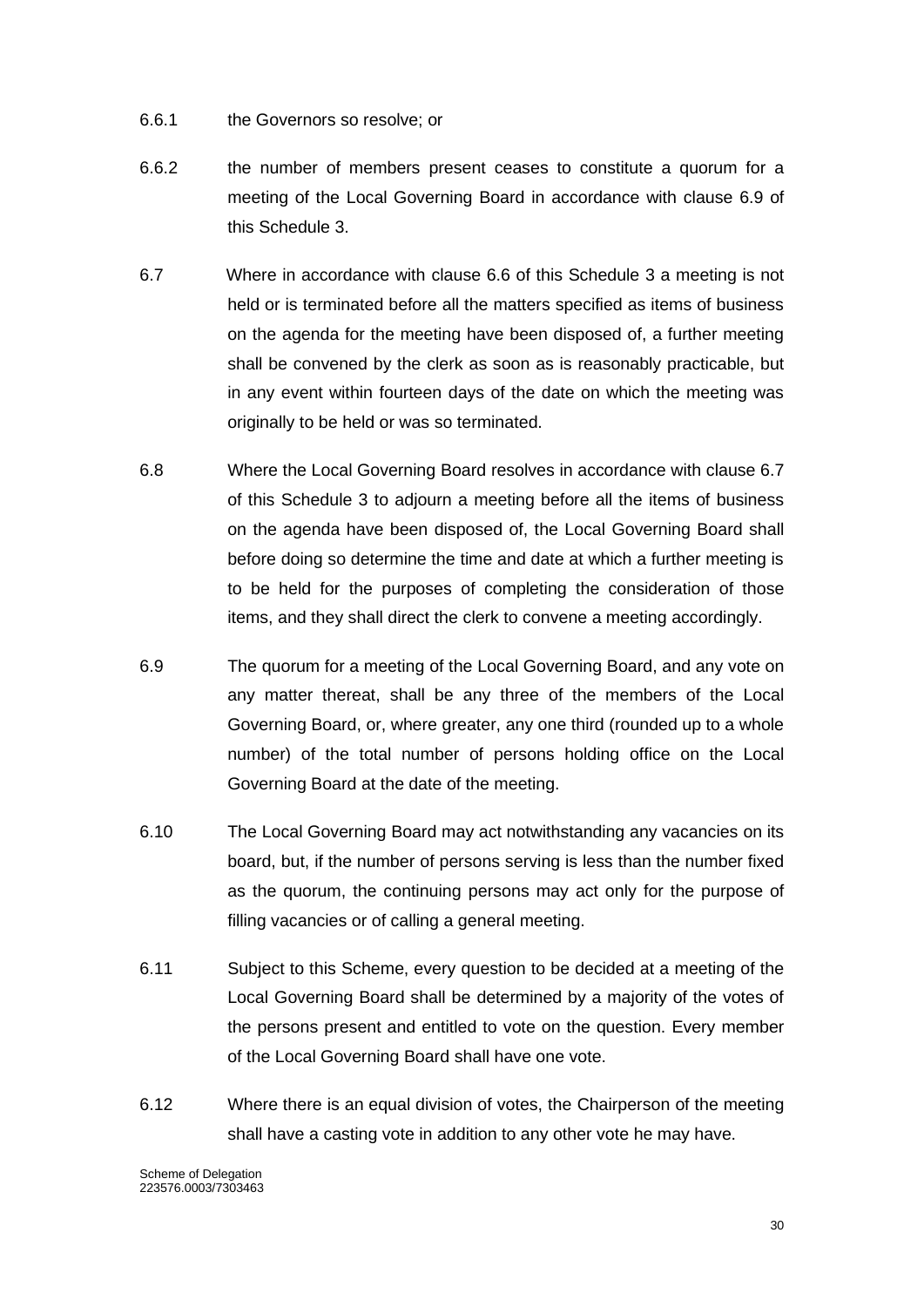- 6.6.1 the Governors so resolve; or
- 6.6.2 the number of members present ceases to constitute a quorum for a meeting of the Local Governing Board in accordance with clause 6.9 of this Schedule 3.
- 6.7 Where in accordance with clause 6.6 of this Schedule 3 a meeting is not held or is terminated before all the matters specified as items of business on the agenda for the meeting have been disposed of, a further meeting shall be convened by the clerk as soon as is reasonably practicable, but in any event within fourteen days of the date on which the meeting was originally to be held or was so terminated.
- 6.8 Where the Local Governing Board resolves in accordance with clause 6.7 of this Schedule 3 to adjourn a meeting before all the items of business on the agenda have been disposed of, the Local Governing Board shall before doing so determine the time and date at which a further meeting is to be held for the purposes of completing the consideration of those items, and they shall direct the clerk to convene a meeting accordingly.
- 6.9 The quorum for a meeting of the Local Governing Board, and any vote on any matter thereat, shall be any three of the members of the Local Governing Board, or, where greater, any one third (rounded up to a whole number) of the total number of persons holding office on the Local Governing Board at the date of the meeting.
- 6.10 The Local Governing Board may act notwithstanding any vacancies on its board, but, if the number of persons serving is less than the number fixed as the quorum, the continuing persons may act only for the purpose of filling vacancies or of calling a general meeting.
- 6.11 Subject to this Scheme, every question to be decided at a meeting of the Local Governing Board shall be determined by a majority of the votes of the persons present and entitled to vote on the question. Every member of the Local Governing Board shall have one vote.
- 6.12 Where there is an equal division of votes, the Chairperson of the meeting shall have a casting vote in addition to any other vote he may have.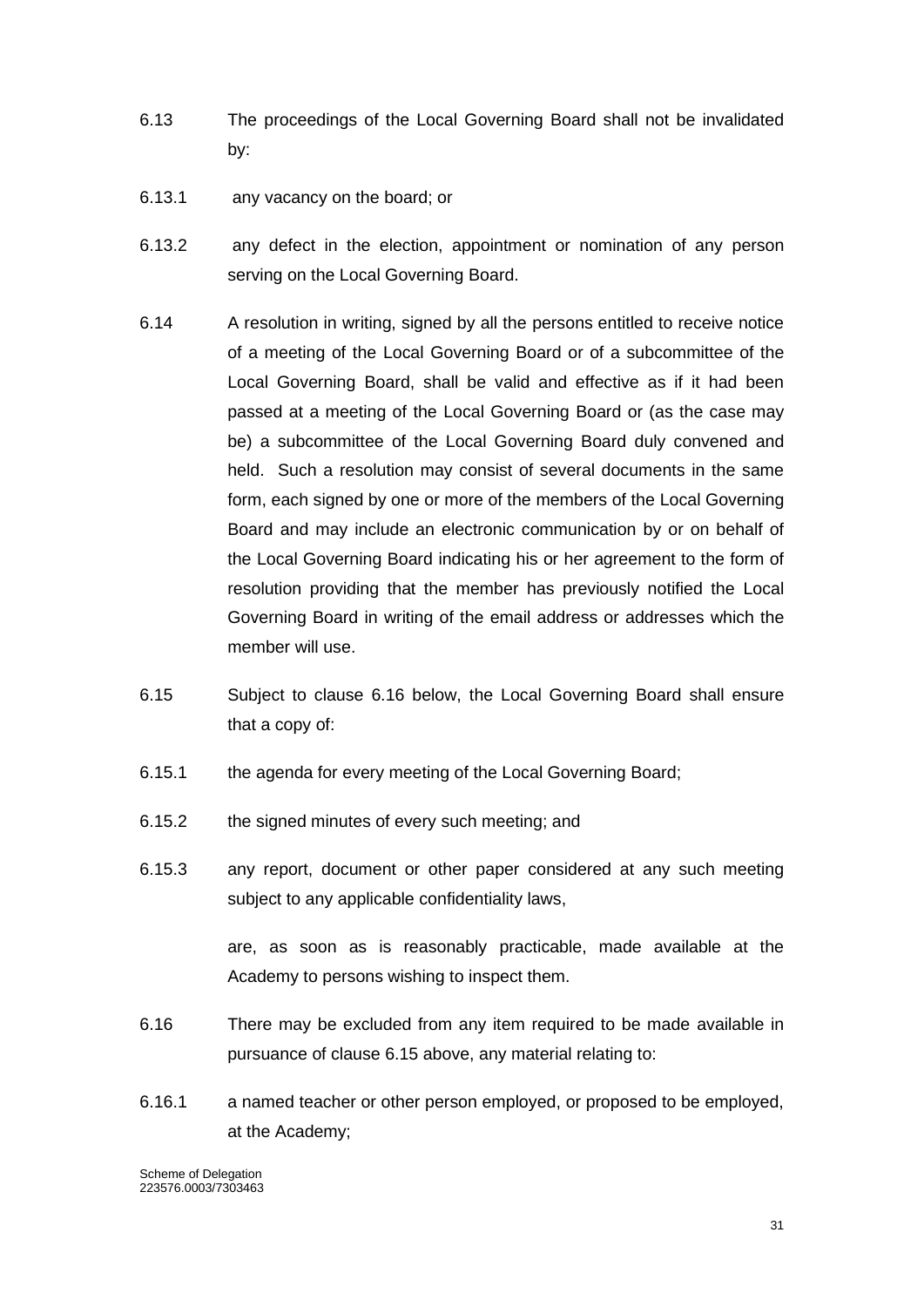- 6.13 The proceedings of the Local Governing Board shall not be invalidated by:
- 6.13.1 any vacancy on the board; or
- 6.13.2 any defect in the election, appointment or nomination of any person serving on the Local Governing Board.
- 6.14 A resolution in writing, signed by all the persons entitled to receive notice of a meeting of the Local Governing Board or of a subcommittee of the Local Governing Board, shall be valid and effective as if it had been passed at a meeting of the Local Governing Board or (as the case may be) a subcommittee of the Local Governing Board duly convened and held. Such a resolution may consist of several documents in the same form, each signed by one or more of the members of the Local Governing Board and may include an electronic communication by or on behalf of the Local Governing Board indicating his or her agreement to the form of resolution providing that the member has previously notified the Local Governing Board in writing of the email address or addresses which the member will use.
- 6.15 Subject to clause 6.16 below, the Local Governing Board shall ensure that a copy of:
- 6.15.1 the agenda for every meeting of the Local Governing Board;
- 6.15.2 the signed minutes of every such meeting; and
- 6.15.3 any report, document or other paper considered at any such meeting subject to any applicable confidentiality laws,

are, as soon as is reasonably practicable, made available at the Academy to persons wishing to inspect them.

- 6.16 There may be excluded from any item required to be made available in pursuance of clause 6.15 above, any material relating to:
- 6.16.1 a named teacher or other person employed, or proposed to be employed, at the Academy;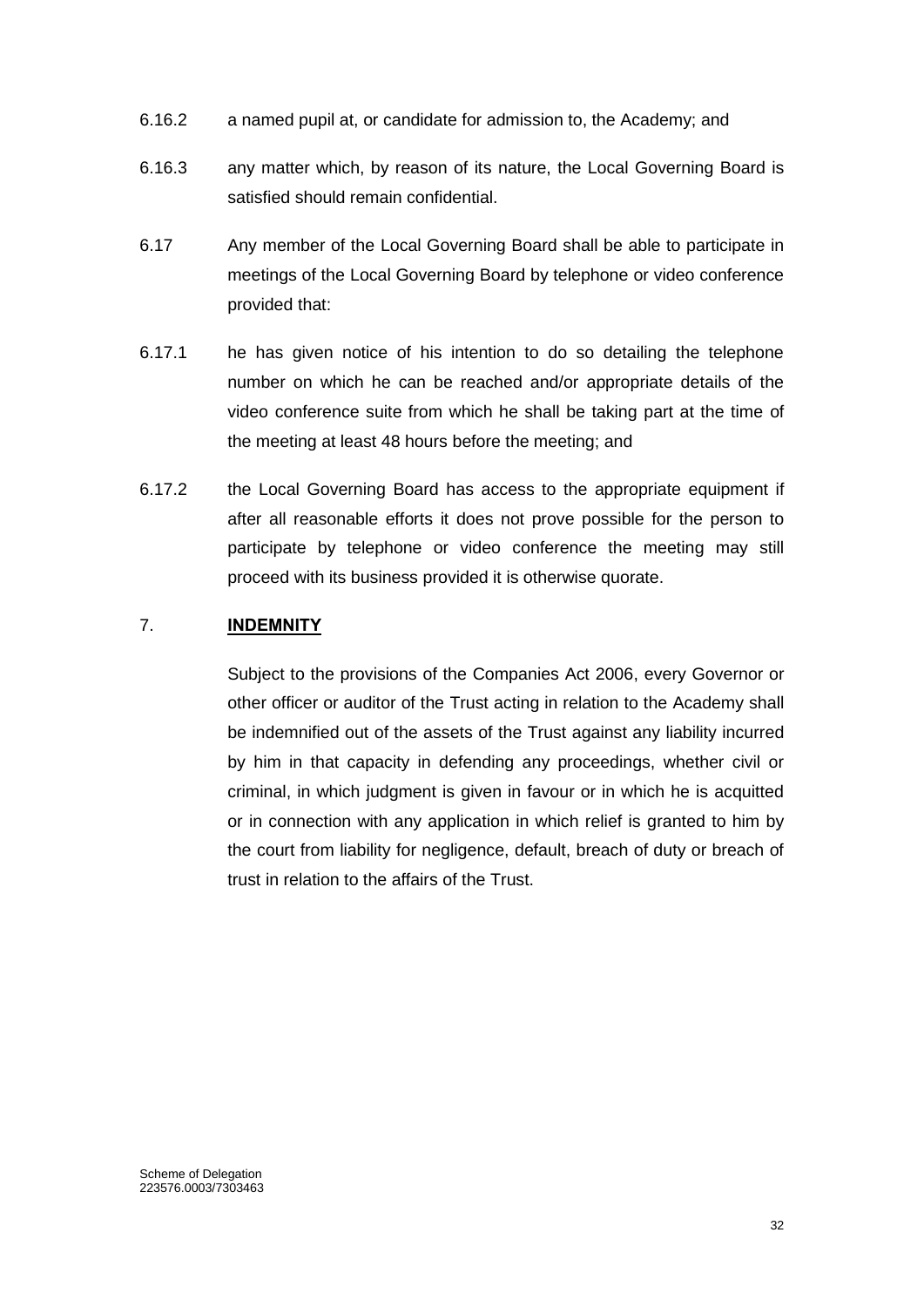- 6.16.2 a named pupil at, or candidate for admission to, the Academy; and
- 6.16.3 any matter which, by reason of its nature, the Local Governing Board is satisfied should remain confidential.
- 6.17 Any member of the Local Governing Board shall be able to participate in meetings of the Local Governing Board by telephone or video conference provided that:
- 6.17.1 he has given notice of his intention to do so detailing the telephone number on which he can be reached and/or appropriate details of the video conference suite from which he shall be taking part at the time of the meeting at least 48 hours before the meeting; and
- 6.17.2 the Local Governing Board has access to the appropriate equipment if after all reasonable efforts it does not prove possible for the person to participate by telephone or video conference the meeting may still proceed with its business provided it is otherwise quorate.

## <span id="page-32-0"></span>7. **INDEMNITY**

Subject to the provisions of the Companies Act 2006, every Governor or other officer or auditor of the Trust acting in relation to the Academy shall be indemnified out of the assets of the Trust against any liability incurred by him in that capacity in defending any proceedings, whether civil or criminal, in which judgment is given in favour or in which he is acquitted or in connection with any application in which relief is granted to him by the court from liability for negligence, default, breach of duty or breach of trust in relation to the affairs of the Trust.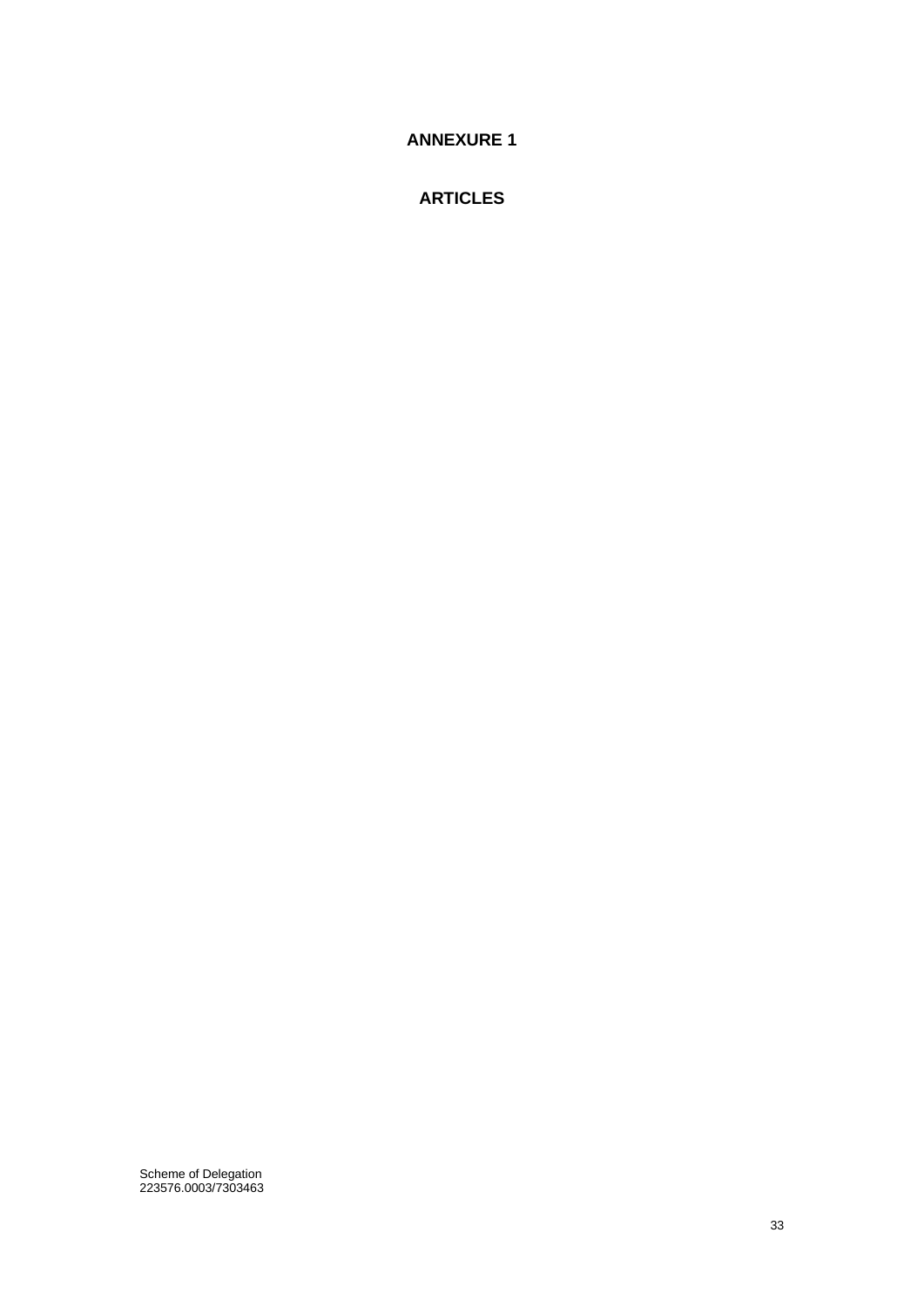<span id="page-33-0"></span>**ANNEXURE 1**

**ARTICLES**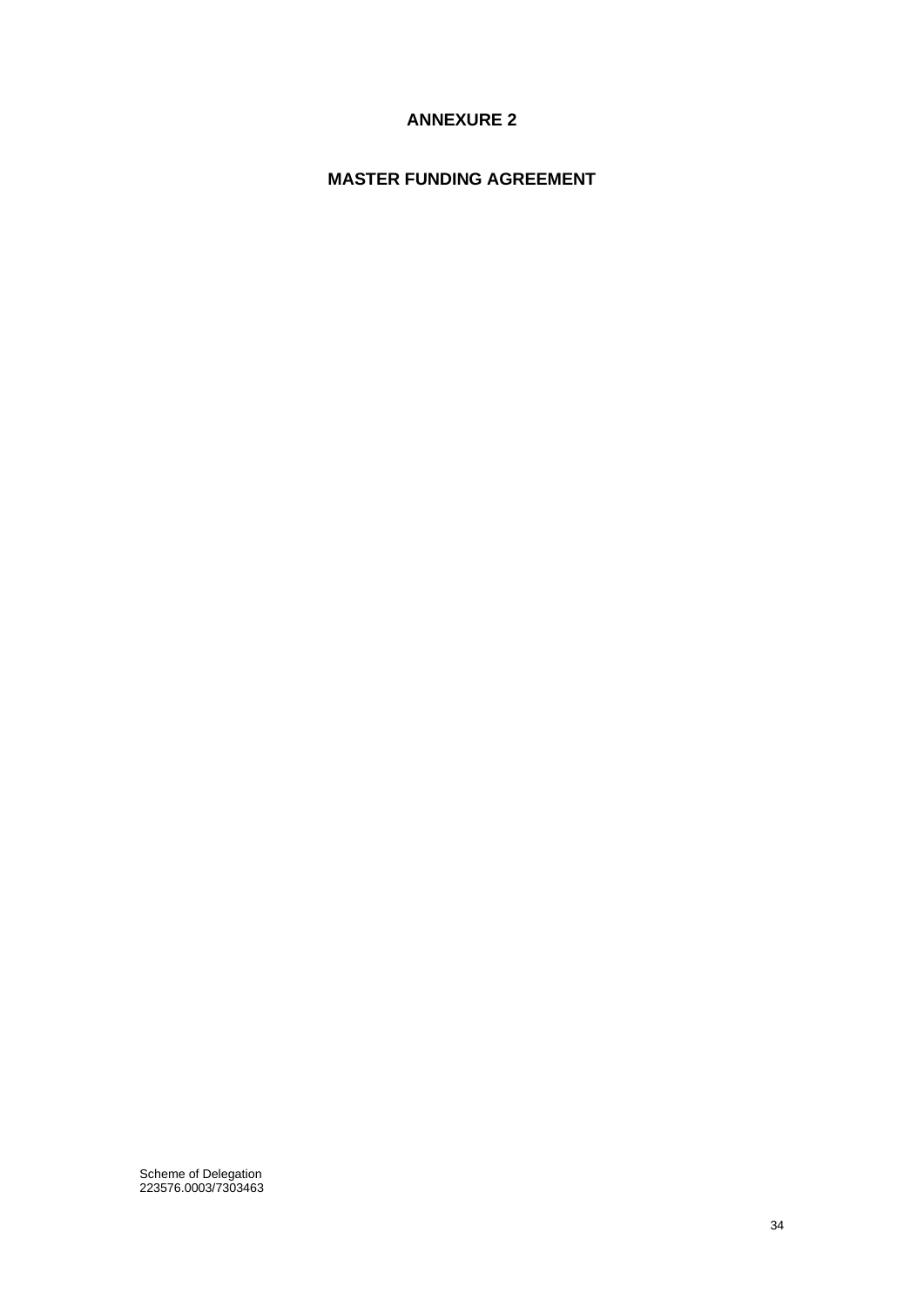## **ANNEXURE 2**

## <span id="page-34-0"></span>**MASTER FUNDING AGREEMENT**